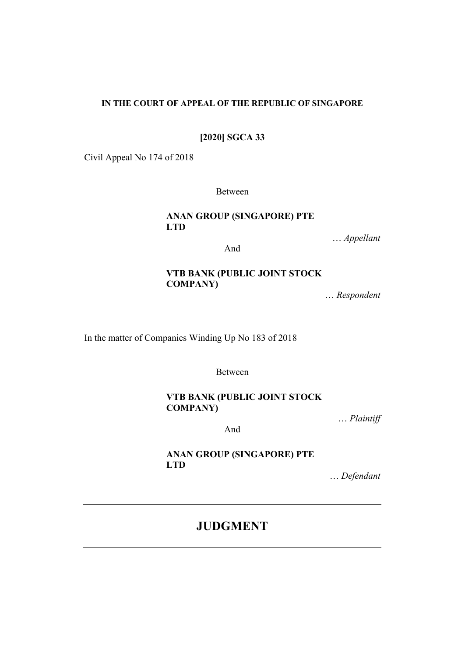## **IN THE COURT OF APPEAL OF THE REPUBLIC OF SINGAPORE**

**[2020] SGCA 33**

Civil Appeal No 174 of 2018

Between

**ANAN GROUP (SINGAPORE) PTE LTD**

… *Appellant*

And

# **VTB BANK (PUBLIC JOINT STOCK COMPANY)**

… *Respondent*

In the matter of Companies Winding Up No 183 of 2018

Between

# **VTB BANK (PUBLIC JOINT STOCK COMPANY)**

… *Plaintiff*

And

**ANAN GROUP (SINGAPORE) PTE LTD**

… *Defendant*

# **JUDGMENT**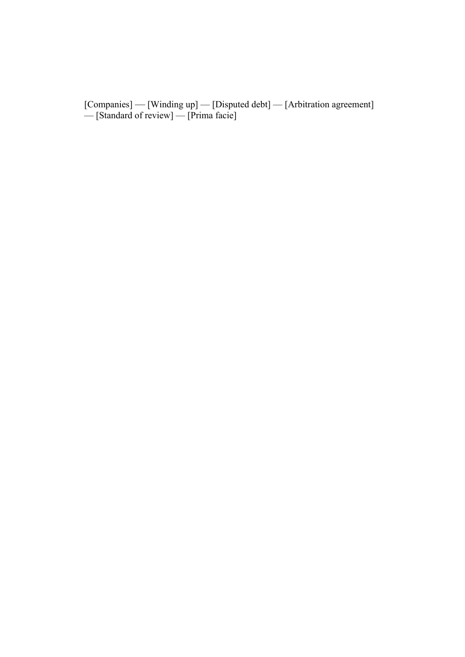[Companies] — [Winding up] — [Disputed debt] — [Arbitration agreement] — [Standard of review] — [Prima facie]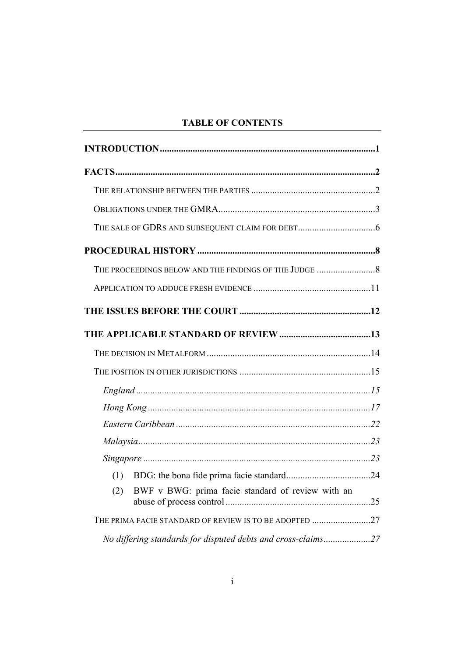# **TABLE OF CONTENTS**

| BWF v BWG: prima facie standard of review with an<br>(2)     |  |
|--------------------------------------------------------------|--|
| THE PRIMA FACIE STANDARD OF REVIEW IS TO BE ADOPTED 27       |  |
| No differing standards for disputed debts and cross-claims27 |  |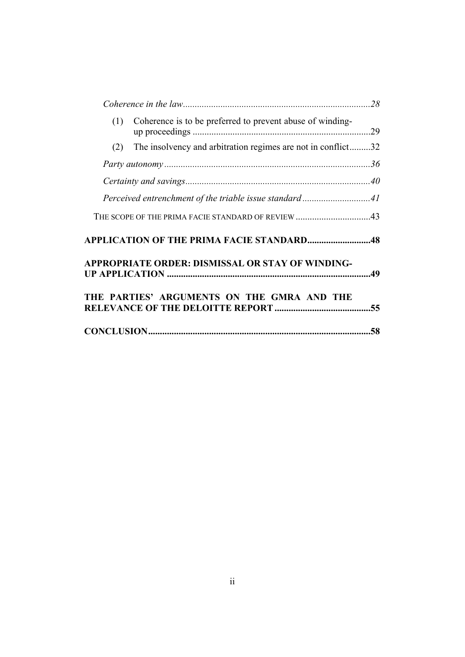| Coherence is to be preferred to prevent abuse of winding-<br>(1)    |     |
|---------------------------------------------------------------------|-----|
| The insolvency and arbitration regimes are not in conflict32<br>(2) |     |
|                                                                     |     |
|                                                                     |     |
| Perceived entrenchment of the triable issue standard41              |     |
| THE SCOPE OF THE PRIMA FACIE STANDARD OF REVIEW 43                  |     |
| <b>APPLICATION OF THE PRIMA FACIE STANDARD48</b>                    |     |
| <b>APPROPRIATE ORDER: DISMISSAL OR STAY OF WINDING-</b>             |     |
| THE PARTIES' ARGUMENTS ON THE GMRA AND THE                          |     |
|                                                                     | .58 |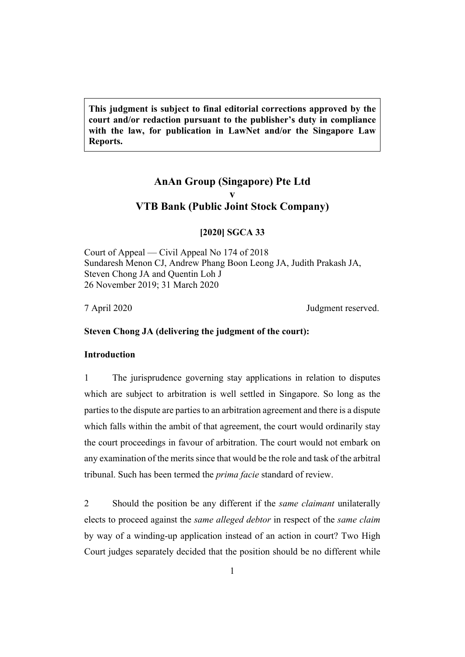**This judgment is subject to final editorial corrections approved by the court and/or redaction pursuant to the publisher's duty in compliance with the law, for publication in LawNet and/or the Singapore Law Reports.**

# **AnAn Group (Singapore) Pte Ltd v VTB Bank (Public Joint Stock Company)**

#### **[2020] SGCA 33**

Court of Appeal — Civil Appeal No 174 of 2018 Sundaresh Menon CJ, Andrew Phang Boon Leong JA, Judith Prakash JA, Steven Chong JA and Quentin Loh J 26 November 2019; 31 March 2020

7 April 2020 Judgment reserved.

# <span id="page-4-0"></span>**Steven Chong JA (delivering the judgment of the court):**

# **Introduction**

1 The jurisprudence governing stay applications in relation to disputes which are subject to arbitration is well settled in Singapore. So long as the parties to the dispute are parties to an arbitration agreement and there is a dispute which falls within the ambit of that agreement, the court would ordinarily stay the court proceedings in favour of arbitration. The court would not embark on any examination of the merits since that would be the role and task of the arbitral tribunal. Such has been termed the *prima facie* standard of review.

2 Should the position be any different if the *same claimant* unilaterally elects to proceed against the *same alleged debtor* in respect of the *same claim* by way of a winding-up application instead of an action in court? Two High Court judges separately decided that the position should be no different while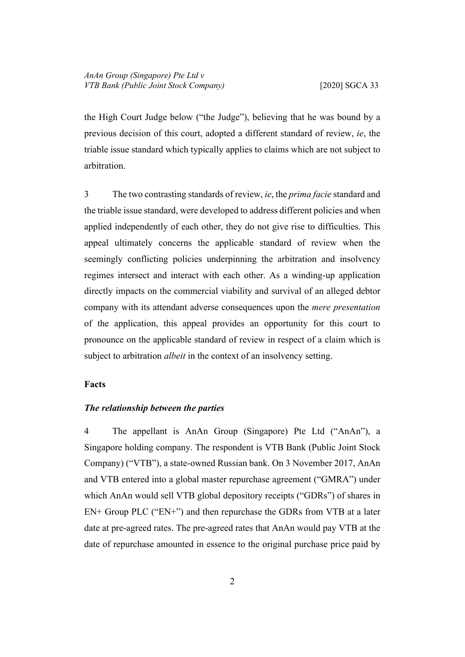the High Court Judge below ("the Judge"), believing that he was bound by a previous decision of this court, adopted a different standard of review, *ie*, the triable issue standard which typically applies to claims which are not subject to arbitration.

3 The two contrasting standards of review, *ie*, the *prima facie* standard and the triable issue standard, were developed to address different policies and when applied independently of each other, they do not give rise to difficulties. This appeal ultimately concerns the applicable standard of review when the seemingly conflicting policies underpinning the arbitration and insolvency regimes intersect and interact with each other. As a winding-up application directly impacts on the commercial viability and survival of an alleged debtor company with its attendant adverse consequences upon the *mere presentation* of the application, this appeal provides an opportunity for this court to pronounce on the applicable standard of review in respect of a claim which is subject to arbitration *albeit* in the context of an insolvency setting.

#### <span id="page-5-1"></span><span id="page-5-0"></span>**Facts**

# *The relationship between the parties*

4 The appellant is AnAn Group (Singapore) Pte Ltd ("AnAn"), a Singapore holding company. The respondent is VTB Bank (Public Joint Stock Company) ("VTB"), a state-owned Russian bank. On 3 November 2017, AnAn and VTB entered into a global master repurchase agreement ("GMRA") under which AnAn would sell VTB global depository receipts ("GDRs") of shares in EN+ Group PLC ("EN+") and then repurchase the GDRs from VTB at a later date at pre-agreed rates. The pre-agreed rates that AnAn would pay VTB at the date of repurchase amounted in essence to the original purchase price paid by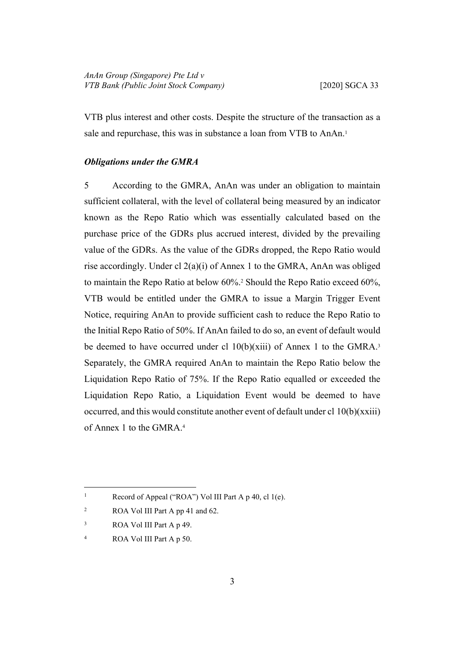VTB plus interest and other costs. Despite the structure of the transaction as a sale and repurchase, this was in substance a loan from VTB to AnAn.<sup>1</sup>

### <span id="page-6-0"></span>*Obligations under the GMRA*

5 According to the GMRA, AnAn was under an obligation to maintain sufficient collateral, with the level of collateral being measured by an indicator known as the Repo Ratio which was essentially calculated based on the purchase price of the GDRs plus accrued interest, divided by the prevailing value of the GDRs. As the value of the GDRs dropped, the Repo Ratio would rise accordingly. Under cl 2(a)(i) of Annex 1 to the GMRA, AnAn was obliged to maintain the Repo Ratio at below 60%.<sup>2</sup> Should the Repo Ratio exceed 60%, VTB would be entitled under the GMRA to issue a Margin Trigger Event Notice, requiring AnAn to provide sufficient cash to reduce the Repo Ratio to the Initial Repo Ratio of 50%. If AnAn failed to do so, an event of default would be deemed to have occurred under cl  $10(b)(xiii)$  of Annex 1 to the GMRA.<sup>3</sup> Separately, the GMRA required AnAn to maintain the Repo Ratio below the Liquidation Repo Ratio of 75%. If the Repo Ratio equalled or exceeded the Liquidation Repo Ratio, a Liquidation Event would be deemed to have occurred, and this would constitute another event of default under cl  $10(b)(xxiii)$ of Annex 1 to the GMRA.<sup>4</sup>

<sup>1</sup> Record of Appeal ("ROA") Vol III Part A p 40, cl 1(e).

<sup>2</sup> ROA Vol III Part A pp 41 and 62.

<sup>3</sup> ROA Vol III Part A p 49.

<sup>4</sup> ROA Vol III Part A p 50.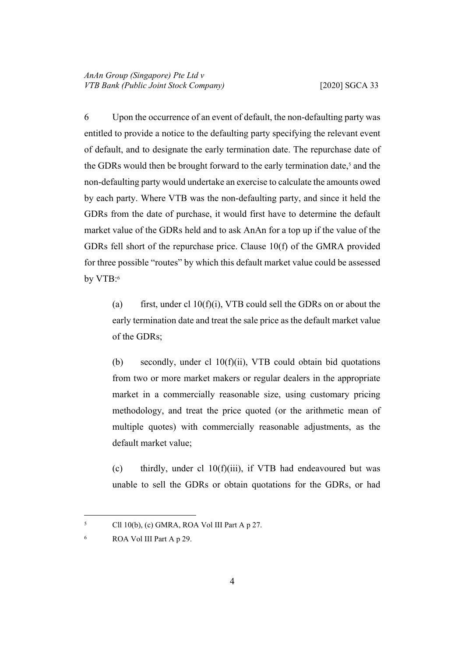<span id="page-7-0"></span>6 Upon the occurrence of an event of default, the non-defaulting party was entitled to provide a notice to the defaulting party specifying the relevant event of default, and to designate the early termination date. The repurchase date of the GDRs would then be brought forward to the early termination date,<sup>5</sup> and the non-defaulting party would undertake an exercise to calculate the amounts owed by each party. Where VTB was the non-defaulting party, and since it held the GDRs from the date of purchase, it would first have to determine the default market value of the GDRs held and to ask AnAn for a top up if the value of the GDRs fell short of the repurchase price. Clause 10(f) of the GMRA provided for three possible "routes" by which this default market value could be assessed by VTB:<sup>6</sup>

(a) first, under cl  $10(f)(i)$ , VTB could sell the GDRs on or about the early termination date and treat the sale price as the default market value of the GDRs;

(b) secondly, under cl 10(f)(ii), VTB could obtain bid quotations from two or more market makers or regular dealers in the appropriate market in a commercially reasonable size, using customary pricing methodology, and treat the price quoted (or the arithmetic mean of multiple quotes) with commercially reasonable adjustments, as the default market value;

(c) thirdly, under cl 10(f)(iii), if VTB had endeavoured but was unable to sell the GDRs or obtain quotations for the GDRs, or had

<sup>5</sup> Cll 10(b), (c) GMRA, ROA Vol III Part A p 27.

<sup>6</sup> ROA Vol III Part A p 29.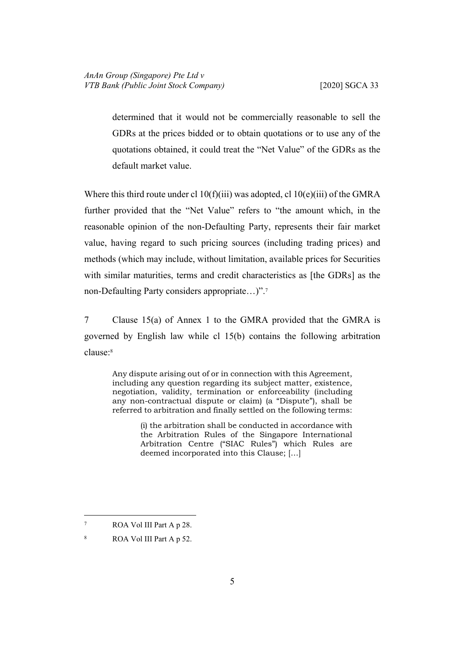determined that it would not be commercially reasonable to sell the GDRs at the prices bidded or to obtain quotations or to use any of the quotations obtained, it could treat the "Net Value" of the GDRs as the default market value.

Where this third route under cl 10(f)(iii) was adopted, cl 10(e)(iii) of the GMRA further provided that the "Net Value" refers to "the amount which, in the reasonable opinion of the non-Defaulting Party, represents their fair market value, having regard to such pricing sources (including trading prices) and methods (which may include, without limitation, available prices for Securities with similar maturities, terms and credit characteristics as [the GDRs] as the non-Defaulting Party considers appropriate…)".<sup>7</sup>

7 Clause 15(a) of Annex 1 to the GMRA provided that the GMRA is governed by English law while cl 15(b) contains the following arbitration clause:<sup>8</sup>

Any dispute arising out of or in connection with this Agreement, including any question regarding its subject matter, existence, negotiation, validity, termination or enforceability (including any non-contractual dispute or claim) (a "Dispute"), shall be referred to arbitration and finally settled on the following terms:

> (i) the arbitration shall be conducted in accordance with the Arbitration Rules of the Singapore International Arbitration Centre ("SIAC Rules") which Rules are deemed incorporated into this Clause; […]

<sup>7</sup> ROA Vol III Part A p 28.

<sup>8</sup> ROA Vol III Part A p 52.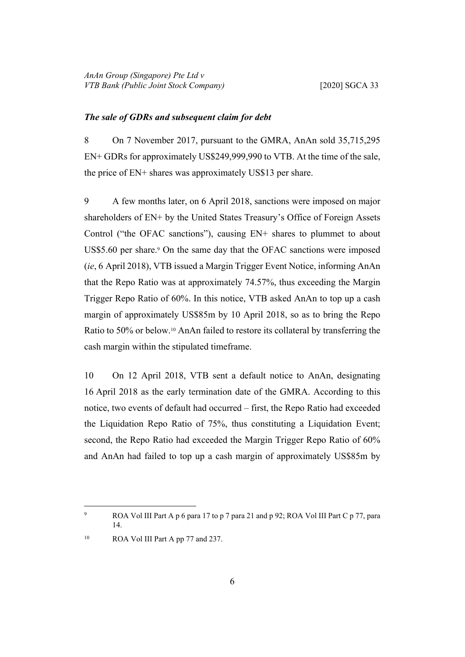#### <span id="page-9-0"></span>*The sale of GDRs and subsequent claim for debt*

8 On 7 November 2017, pursuant to the GMRA, AnAn sold 35,715,295 EN+ GDRs for approximately US\$249,999,990 to VTB. At the time of the sale, the price of EN+ shares was approximately US\$13 per share.

9 A few months later, on 6 April 2018, sanctions were imposed on major shareholders of EN+ by the United States Treasury's Office of Foreign Assets Control ("the OFAC sanctions"), causing EN+ shares to plummet to about US\$5.60 per share.<sup>9</sup> On the same day that the OFAC sanctions were imposed (*ie*, 6 April 2018), VTB issued a Margin Trigger Event Notice, informing AnAn that the Repo Ratio was at approximately 74.57%, thus exceeding the Margin Trigger Repo Ratio of 60%. In this notice, VTB asked AnAn to top up a cash margin of approximately US\$85m by 10 April 2018, so as to bring the Repo Ratio to 50% or below.10 AnAn failed to restore its collateral by transferring the cash margin within the stipulated timeframe.

10 On 12 April 2018, VTB sent a default notice to AnAn, designating 16 April 2018 as the early termination date of the GMRA. According to this notice, two events of default had occurred – first, the Repo Ratio had exceeded the Liquidation Repo Ratio of 75%, thus constituting a Liquidation Event; second, the Repo Ratio had exceeded the Margin Trigger Repo Ratio of 60% and AnAn had failed to top up a cash margin of approximately US\$85m by

<sup>9</sup> ROA Vol III Part A p 6 para 17 to p 7 para 21 and p 92; ROA Vol III Part C p 77, para 14.

<sup>&</sup>lt;sup>10</sup> ROA Vol III Part A pp 77 and 237.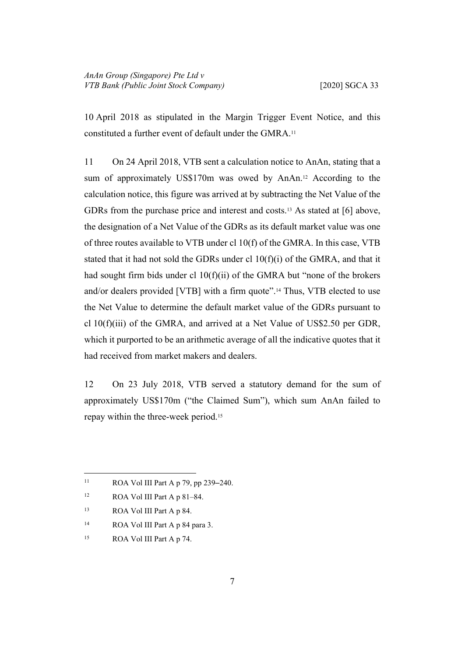10 April 2018 as stipulated in the Margin Trigger Event Notice, and this constituted a further event of default under the GMRA.<sup>11</sup>

11 On 24 April 2018, VTB sent a calculation notice to AnAn, stating that a sum of approximately US\$170m was owed by AnAn.12 According to the calculation notice, this figure was arrived at by subtracting the Net Value of the GDRs from the purchase price and interest and costs.13 As stated at [\[6](#page-7-0)] above, the designation of a Net Value of the GDRs as its default market value was one of three routes available to VTB under cl 10(f) of the GMRA. In this case, VTB stated that it had not sold the GDRs under cl  $10(f)(i)$  of the GMRA, and that it had sought firm bids under cl 10(f)(ii) of the GMRA but "none of the brokers and/or dealers provided [VTB] with a firm quote".14 Thus, VTB elected to use the Net Value to determine the default market value of the GDRs pursuant to cl 10(f)(iii) of the GMRA, and arrived at a Net Value of US\$2.50 per GDR, which it purported to be an arithmetic average of all the indicative quotes that it had received from market makers and dealers.

12 On 23 July 2018, VTB served a statutory demand for the sum of approximately US\$170m ("the Claimed Sum"), which sum AnAn failed to repay within the three-week period.<sup>15</sup>

- <sup>14</sup> ROA Vol III Part A p 84 para 3.
- 15 ROA Vol III Part A p 74.

<sup>11</sup> ROA Vol III Part A p 79, pp 239–240.

<sup>12</sup> ROA Vol III Part A p 81–84.

<sup>13</sup> ROA Vol III Part A p 84.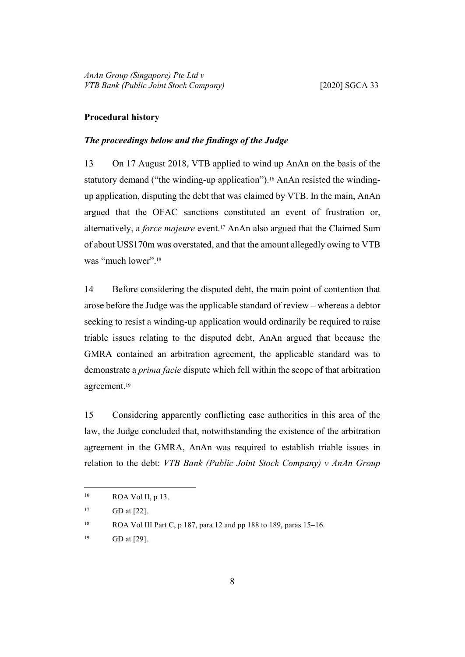#### <span id="page-11-1"></span><span id="page-11-0"></span>**Procedural history**

# *The proceedings below and the findings of the Judge*

13 On 17 August 2018, VTB applied to wind up AnAn on the basis of the statutory demand ("the winding-up application").<sup>16</sup> AnAn resisted the windingup application, disputing the debt that was claimed by VTB. In the main, AnAn argued that the OFAC sanctions constituted an event of frustration or, alternatively, a *force majeure* event.17 AnAn also argued that the Claimed Sum of about US\$170m was overstated, and that the amount allegedly owing to VTB was "much lower".<sup>18</sup>

14 Before considering the disputed debt, the main point of contention that arose before the Judge was the applicable standard of review – whereas a debtor seeking to resist a winding-up application would ordinarily be required to raise triable issues relating to the disputed debt, AnAn argued that because the GMRA contained an arbitration agreement, the applicable standard was to demonstrate a *prima facie* dispute which fell within the scope of that arbitration agreement.<sup>19</sup>

<span id="page-11-2"></span>15 Considering apparently conflicting case authorities in this area of the law, the Judge concluded that, notwithstanding the existence of the arbitration agreement in the GMRA, AnAn was required to establish triable issues in relation to the debt: *VTB Bank (Public Joint Stock Company) v AnAn Group* 

<sup>16</sup> ROA Vol II, p 13.

 $17$  GD at [22].

<sup>18</sup> ROA Vol III Part C, p 187, para 12 and pp 188 to 189, paras 15–16.

<sup>19</sup> GD at [29].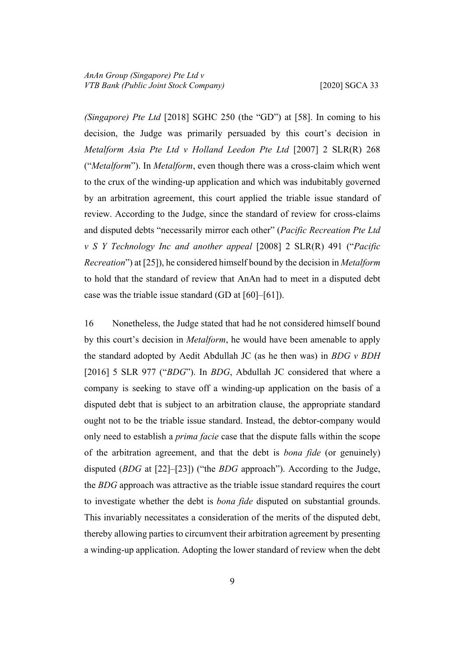*(Singapore) Pte Ltd* [2018] SGHC 250 (the "GD") at [58]. In coming to his decision, the Judge was primarily persuaded by this court's decision in *Metalform Asia Pte Ltd v Holland Leedon Pte Ltd* [2007] 2 SLR(R) 268 ("*Metalform*"). In *Metalform*, even though there was a cross-claim which went to the crux of the winding-up application and which was indubitably governed by an arbitration agreement, this court applied the triable issue standard of review. According to the Judge, since the standard of review for cross-claims and disputed debts "necessarily mirror each other" (*Pacific Recreation Pte Ltd v S Y Technology Inc and another appeal* [2008] 2 SLR(R) 491 ("*Pacific Recreation*") at [25]), he considered himself bound by the decision in *Metalform*  to hold that the standard of review that AnAn had to meet in a disputed debt case was the triable issue standard (GD at [60]–[61]).

<span id="page-12-0"></span>16 Nonetheless, the Judge stated that had he not considered himself bound by this court's decision in *Metalform*, he would have been amenable to apply the standard adopted by Aedit Abdullah JC (as he then was) in *BDG v BDH*  [2016] 5 SLR 977 ("*BDG*"). In *BDG*, Abdullah JC considered that where a company is seeking to stave off a winding-up application on the basis of a disputed debt that is subject to an arbitration clause, the appropriate standard ought not to be the triable issue standard. Instead, the debtor-company would only need to establish a *prima facie* case that the dispute falls within the scope of the arbitration agreement, and that the debt is *bona fide* (or genuinely) disputed (*BDG* at [22]–[23]) ("the *BDG* approach"). According to the Judge, the *BDG* approach was attractive as the triable issue standard requires the court to investigate whether the debt is *bona fide* disputed on substantial grounds. This invariably necessitates a consideration of the merits of the disputed debt, thereby allowing parties to circumvent their arbitration agreement by presenting a winding-up application. Adopting the lower standard of review when the debt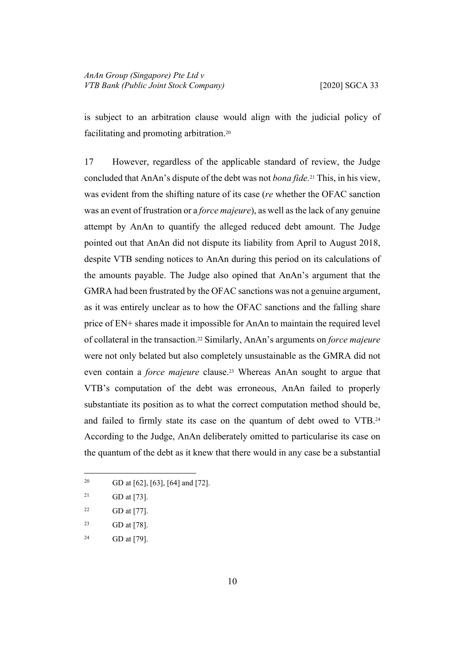is subject to an arbitration clause would align with the judicial policy of facilitating and promoting arbitration.<sup>20</sup>

17 However, regardless of the applicable standard of review, the Judge concluded that AnAn's dispute of the debt was not *bona fide.*<sup>21</sup> This, in his view, was evident from the shifting nature of its case (*re* whether the OFAC sanction was an event of frustration or a *force majeure*), as well as the lack of any genuine attempt by AnAn to quantify the alleged reduced debt amount. The Judge pointed out that AnAn did not dispute its liability from April to August 2018, despite VTB sending notices to AnAn during this period on its calculations of the amounts payable. The Judge also opined that AnAn's argument that the GMRA had been frustrated by the OFAC sanctions was not a genuine argument, as it was entirely unclear as to how the OFAC sanctions and the falling share price of EN+ shares made it impossible for AnAn to maintain the required level of collateral in the transaction.22 Similarly, AnAn's arguments on *force majeure* were not only belated but also completely unsustainable as the GMRA did not even contain a *force majeure* clause.23 Whereas AnAn sought to argue that VTB's computation of the debt was erroneous, AnAn failed to properly substantiate its position as to what the correct computation method should be, and failed to firmly state its case on the quantum of debt owed to VTB.<sup>24</sup> According to the Judge, AnAn deliberately omitted to particularise its case on the quantum of the debt as it knew that there would in any case be a substantial

<sup>20</sup> GD at [62], [63], [64] and [72].

<sup>24</sup> GD at [79].

<sup>&</sup>lt;sup>21</sup> GD at [73].

<sup>&</sup>lt;sup>22</sup> GD at [77].

<sup>23</sup> GD at [78].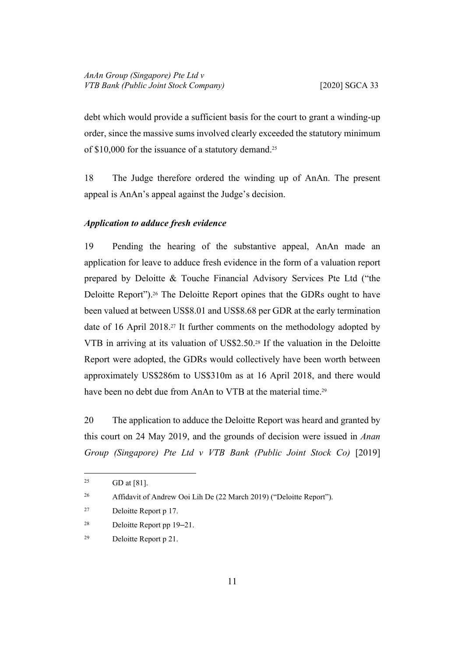debt which would provide a sufficient basis for the court to grant a winding-up order, since the massive sums involved clearly exceeded the statutory minimum of \$10,000 for the issuance of a statutory demand.<sup>25</sup>

18 The Judge therefore ordered the winding up of AnAn. The present appeal is AnAn's appeal against the Judge's decision.

# <span id="page-14-0"></span>*Application to adduce fresh evidence*

19 Pending the hearing of the substantive appeal, AnAn made an application for leave to adduce fresh evidence in the form of a valuation report prepared by Deloitte & Touche Financial Advisory Services Pte Ltd ("the Deloitte Report").<sup>26</sup> The Deloitte Report opines that the GDRs ought to have been valued at between US\$8.01 and US\$8.68 per GDR at the early termination date of 16 April 2018.27 It further comments on the methodology adopted by VTB in arriving at its valuation of US\$2.50.28 If the valuation in the Deloitte Report were adopted, the GDRs would collectively have been worth between approximately US\$286m to US\$310m as at 16 April 2018, and there would have been no debt due from AnAn to VTB at the material time.<sup>29</sup>

20 The application to adduce the Deloitte Report was heard and granted by this court on 24 May 2019, and the grounds of decision were issued in *Anan Group (Singapore) Pte Ltd v VTB Bank (Public Joint Stock Co)* [2019]

- <sup>28</sup> Deloitte Report pp 19–21.
- 29 Deloitte Report p 21.

 $^{25}$  GD at [81].

<sup>&</sup>lt;sup>26</sup> Affidavit of Andrew Ooi Lih De (22 March 2019) ("Deloitte Report").

<sup>27</sup> Deloitte Report p 17.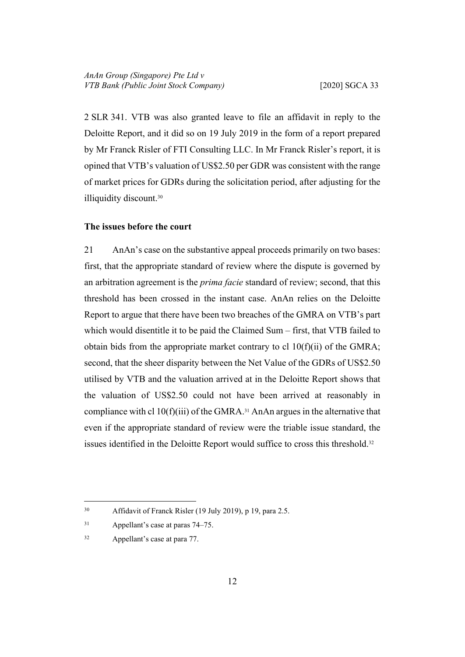2 SLR 341. VTB was also granted leave to file an affidavit in reply to the Deloitte Report, and it did so on 19 July 2019 in the form of a report prepared by Mr Franck Risler of FTI Consulting LLC. In Mr Franck Risler's report, it is opined that VTB's valuation of US\$2.50 per GDR was consistent with the range of market prices for GDRs during the solicitation period, after adjusting for the illiquidity discount.<sup>30</sup>

## <span id="page-15-0"></span>**The issues before the court**

21 AnAn's case on the substantive appeal proceeds primarily on two bases: first, that the appropriate standard of review where the dispute is governed by an arbitration agreement is the *prima facie* standard of review; second, that this threshold has been crossed in the instant case. AnAn relies on the Deloitte Report to argue that there have been two breaches of the GMRA on VTB's part which would disentitle it to be paid the Claimed Sum – first, that VTB failed to obtain bids from the appropriate market contrary to cl  $10(f)(ii)$  of the GMRA; second, that the sheer disparity between the Net Value of the GDRs of US\$2.50 utilised by VTB and the valuation arrived at in the Deloitte Report shows that the valuation of US\$2.50 could not have been arrived at reasonably in compliance with cl  $10(f)(iii)$  of the GMRA.<sup>31</sup> AnAn argues in the alternative that even if the appropriate standard of review were the triable issue standard, the issues identified in the Deloitte Report would suffice to cross this threshold.<sup>32</sup>

<span id="page-15-1"></span><sup>30</sup> Affidavit of Franck Risler (19 July 2019), p 19, para 2.5.

<sup>31</sup> Appellant's case at paras 74–75.

<sup>32</sup> Appellant's case at para 77.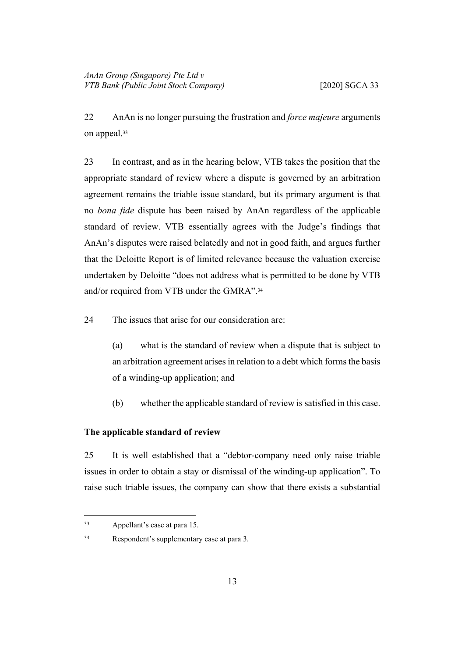22 AnAn is no longer pursuing the frustration and *force majeure* arguments on appeal.<sup>33</sup>

23 In contrast, and as in the hearing below, VTB takes the position that the appropriate standard of review where a dispute is governed by an arbitration agreement remains the triable issue standard, but its primary argument is that no *bona fide* dispute has been raised by AnAn regardless of the applicable standard of review. VTB essentially agrees with the Judge's findings that AnAn's disputes were raised belatedly and not in good faith, and argues further that the Deloitte Report is of limited relevance because the valuation exercise undertaken by Deloitte "does not address what is permitted to be done by VTB and/or required from VTB under the GMRA".<sup>34</sup>

24 The issues that arise for our consideration are:

(a) what is the standard of review when a dispute that is subject to an arbitration agreement arises in relation to a debt which forms the basis of a winding-up application; and

(b) whether the applicable standard of review is satisfied in this case.

# <span id="page-16-0"></span>**The applicable standard of review**

25 It is well established that a "debtor-company need only raise triable issues in order to obtain a stay or dismissal of the winding-up application". To raise such triable issues, the company can show that there exists a substantial

<sup>33</sup> Appellant's case at para 15.

<sup>34</sup> Respondent's supplementary case at para 3.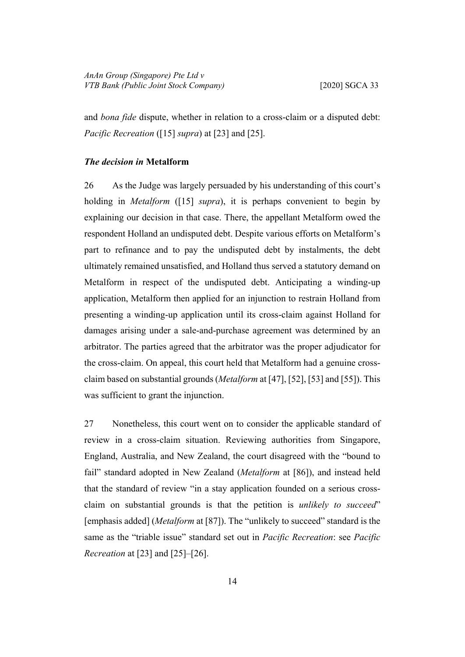and *bona fide* dispute, whether in relation to a cross-claim or a disputed debt: *Pacific Recreation* ([[15\]](#page-11-2) *supra*) at [23] and [25].

### <span id="page-17-0"></span>*The decision in* **Metalform**

26 As the Judge was largely persuaded by his understanding of this court's holding in *Metalform* ([\[15](#page-11-2)] *supra*), it is perhaps convenient to begin by explaining our decision in that case. There, the appellant Metalform owed the respondent Holland an undisputed debt. Despite various efforts on Metalform's part to refinance and to pay the undisputed debt by instalments, the debt ultimately remained unsatisfied, and Holland thus served a statutory demand on Metalform in respect of the undisputed debt. Anticipating a winding-up application, Metalform then applied for an injunction to restrain Holland from presenting a winding-up application until its cross-claim against Holland for damages arising under a sale-and-purchase agreement was determined by an arbitrator. The parties agreed that the arbitrator was the proper adjudicator for the cross-claim. On appeal, this court held that Metalform had a genuine crossclaim based on substantial grounds (*Metalform* at [47], [52], [53] and [55]). This was sufficient to grant the injunction.

27 Nonetheless, this court went on to consider the applicable standard of review in a cross-claim situation. Reviewing authorities from Singapore, England, Australia, and New Zealand, the court disagreed with the "bound to fail" standard adopted in New Zealand (*Metalform* at [86]), and instead held that the standard of review "in a stay application founded on a serious crossclaim on substantial grounds is that the petition is *unlikely to succeed*" [emphasis added] (*Metalform* at [87]). The "unlikely to succeed" standard is the same as the "triable issue" standard set out in *Pacific Recreation*: see *Pacific Recreation* at [23] and [25]–[26].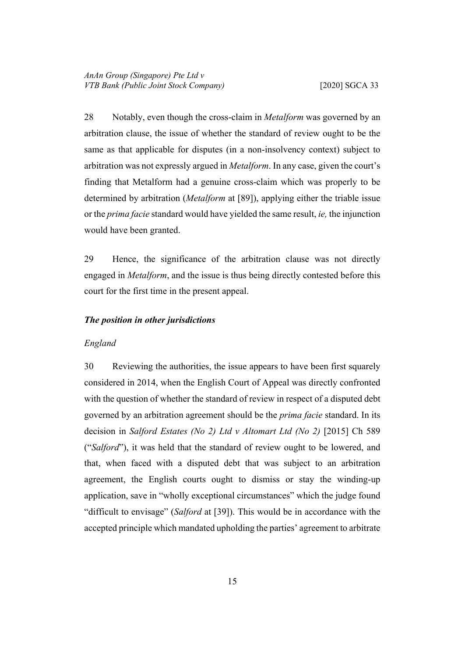28 Notably, even though the cross-claim in *Metalform* was governed by an arbitration clause, the issue of whether the standard of review ought to be the same as that applicable for disputes (in a non-insolvency context) subject to arbitration was not expressly argued in *Metalform*. In any case, given the court's finding that Metalform had a genuine cross-claim which was properly to be determined by arbitration (*Metalform* at [89]), applying either the triable issue or the *prima facie* standard would have yielded the same result, *ie,* the injunction would have been granted.

29 Hence, the significance of the arbitration clause was not directly engaged in *Metalform*, and the issue is thus being directly contested before this court for the first time in the present appeal.

# <span id="page-18-1"></span><span id="page-18-0"></span>*The position in other jurisdictions*

#### <span id="page-18-2"></span>*England*

30 Reviewing the authorities, the issue appears to have been first squarely considered in 2014, when the English Court of Appeal was directly confronted with the question of whether the standard of review in respect of a disputed debt governed by an arbitration agreement should be the *prima facie* standard. In its decision in *Salford Estates (No 2) Ltd v Altomart Ltd (No 2)* [2015] Ch 589 ("*Salford*"), it was held that the standard of review ought to be lowered, and that, when faced with a disputed debt that was subject to an arbitration agreement, the English courts ought to dismiss or stay the winding-up application, save in "wholly exceptional circumstances" which the judge found "difficult to envisage" (*Salford* at [39]). This would be in accordance with the accepted principle which mandated upholding the parties' agreement to arbitrate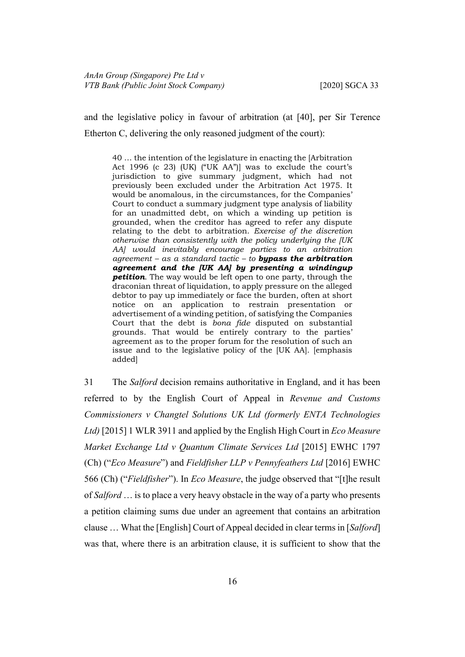and the legislative policy in favour of arbitration (at [40], per Sir Terence Etherton C, delivering the only reasoned judgment of the court):

40 … the intention of the legislature in enacting the [Arbitration Act 1996 (c 23) (UK) ("UK AA")] was to exclude the court's jurisdiction to give summary judgment, which had not previously been excluded under the Arbitration Act 1975. It would be anomalous, in the circumstances, for the Companies' Court to conduct a summary judgment type analysis of liability for an unadmitted debt, on which a winding up petition is grounded, when the creditor has agreed to refer any dispute relating to the debt to arbitration. *Exercise of the discretion otherwise than consistently with the policy underlying the [UK AA] would inevitably encourage parties to an arbitration agreement – as a standard tactic – to bypass the arbitration agreement and the [UK AA] by presenting a windingup petition*. The way would be left open to one party, through the draconian threat of liquidation, to apply pressure on the alleged debtor to pay up immediately or face the burden, often at short notice on an application to restrain presentation or advertisement of a winding petition, of satisfying the Companies Court that the debt is *bona fide* disputed on substantial grounds. That would be entirely contrary to the parties' agreement as to the proper forum for the resolution of such an issue and to the legislative policy of the [UK AA]. [emphasis added]

<span id="page-19-0"></span>31 The *Salford* decision remains authoritative in England, and it has been referred to by the English Court of Appeal in *Revenue and Customs Commissioners v Changtel Solutions UK Ltd (formerly ENTA Technologies Ltd)* [2015] 1 WLR 3911 and applied by the English High Court in *Eco Measure Market Exchange Ltd v Quantum Climate Services Ltd* [2015] EWHC 1797 (Ch) ("*Eco Measure*") and *Fieldfisher LLP v Pennyfeathers Ltd* [2016] EWHC 566 (Ch) ("*Fieldfisher*"). In *Eco Measure*, the judge observed that "[t]he result of *Salford* … is to place a very heavy obstacle in the way of a party who presents a petition claiming sums due under an agreement that contains an arbitration clause … What the [English] Court of Appeal decided in clear terms in [*Salford*] was that, where there is an arbitration clause, it is sufficient to show that the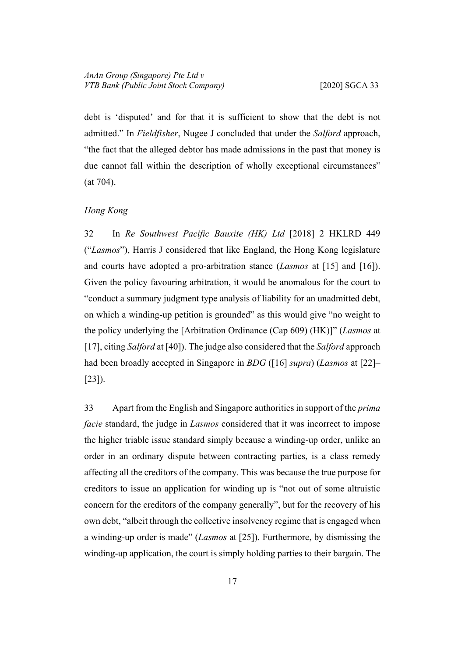debt is 'disputed' and for that it is sufficient to show that the debt is not admitted." In *Fieldfisher*, Nugee J concluded that under the *Salford* approach, "the fact that the alleged debtor has made admissions in the past that money is due cannot fall within the description of wholly exceptional circumstances" (at 704).

# <span id="page-20-2"></span><span id="page-20-0"></span>*Hong Kong*

32 In *Re Southwest Pacific Bauxite (HK) Ltd* [2018] 2 HKLRD 449 ("*Lasmos*"), Harris J considered that like England, the Hong Kong legislature and courts have adopted a pro-arbitration stance (*Lasmos* at [15] and [16]). Given the policy favouring arbitration, it would be anomalous for the court to "conduct a summary judgment type analysis of liability for an unadmitted debt, on which a winding-up petition is grounded" as this would give "no weight to the policy underlying the [Arbitration Ordinance (Cap 609) (HK)]" (*Lasmos* at [17], citing *Salford* at [40]). The judge also considered that the *Salford* approach had been broadly accepted in Singapore in *BDG* ([\[16](#page-12-0)] *supra*) (*Lasmos* at [22]– [23]).

<span id="page-20-1"></span>33 Apart from the English and Singapore authorities in support of the *prima facie* standard, the judge in *Lasmos* considered that it was incorrect to impose the higher triable issue standard simply because a winding-up order, unlike an order in an ordinary dispute between contracting parties, is a class remedy affecting all the creditors of the company. This was because the true purpose for creditors to issue an application for winding up is "not out of some altruistic concern for the creditors of the company generally", but for the recovery of his own debt, "albeit through the collective insolvency regime that is engaged when a winding-up order is made" (*Lasmos* at [25]). Furthermore, by dismissing the winding-up application, the court is simply holding parties to their bargain. The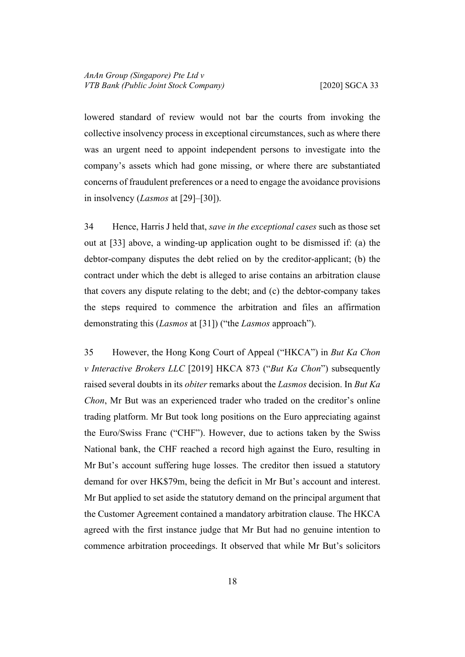lowered standard of review would not bar the courts from invoking the collective insolvency process in exceptional circumstances, such as where there was an urgent need to appoint independent persons to investigate into the company's assets which had gone missing, or where there are substantiated concerns of fraudulent preferences or a need to engage the avoidance provisions in insolvency (*Lasmos* at [29]–[30]).

34 Hence, Harris J held that, *save in the exceptional cases* such as those set out at [[33\]](#page-20-1) above, a winding-up application ought to be dismissed if: (a) the debtor-company disputes the debt relied on by the creditor-applicant; (b) the contract under which the debt is alleged to arise contains an arbitration clause that covers any dispute relating to the debt; and (c) the debtor-company takes the steps required to commence the arbitration and files an affirmation demonstrating this (*Lasmos* at [31]) ("the *Lasmos* approach").

<span id="page-21-0"></span>35 However, the Hong Kong Court of Appeal ("HKCA") in *But Ka Chon v Interactive Brokers LLC* [2019] HKCA 873 ("*But Ka Chon*") subsequently raised several doubts in its *obiter* remarks about the *Lasmos* decision. In *But Ka Chon*, Mr But was an experienced trader who traded on the creditor's online trading platform. Mr But took long positions on the Euro appreciating against the Euro/Swiss Franc ("CHF"). However, due to actions taken by the Swiss National bank, the CHF reached a record high against the Euro, resulting in Mr But's account suffering huge losses. The creditor then issued a statutory demand for over HK\$79m, being the deficit in Mr But's account and interest. Mr But applied to set aside the statutory demand on the principal argument that the Customer Agreement contained a mandatory arbitration clause. The HKCA agreed with the first instance judge that Mr But had no genuine intention to commence arbitration proceedings. It observed that while Mr But's solicitors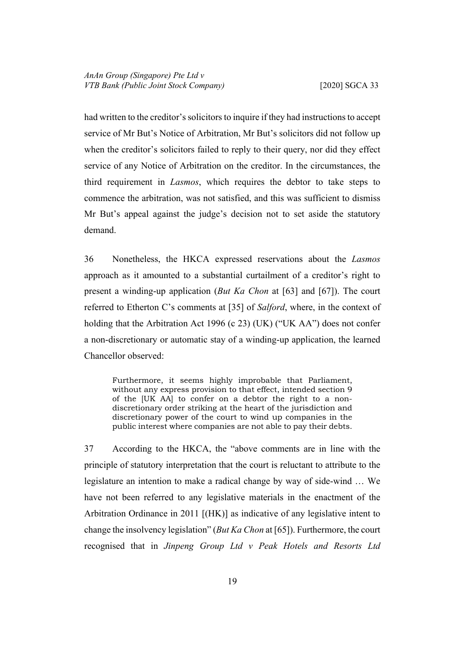had written to the creditor's solicitors to inquire if they had instructions to accept service of Mr But's Notice of Arbitration, Mr But's solicitors did not follow up when the creditor's solicitors failed to reply to their query, nor did they effect service of any Notice of Arbitration on the creditor. In the circumstances, the third requirement in *Lasmos*, which requires the debtor to take steps to commence the arbitration, was not satisfied, and this was sufficient to dismiss Mr But's appeal against the judge's decision not to set aside the statutory demand.

36 Nonetheless, the HKCA expressed reservations about the *Lasmos* approach as it amounted to a substantial curtailment of a creditor's right to present a winding-up application (*But Ka Chon* at [63] and [67]). The court referred to Etherton C's comments at [35] of *Salford*, where, in the context of holding that the Arbitration Act 1996 (c 23) (UK) ("UK AA") does not confer a non-discretionary or automatic stay of a winding-up application, the learned Chancellor observed:

Furthermore, it seems highly improbable that Parliament, without any express provision to that effect, intended section 9 of the [UK AA] to confer on a debtor the right to a nondiscretionary order striking at the heart of the jurisdiction and discretionary power of the court to wind up companies in the public interest where companies are not able to pay their debts.

<span id="page-22-0"></span>37 According to the HKCA, the "above comments are in line with the principle of statutory interpretation that the court is reluctant to attribute to the legislature an intention to make a radical change by way of side-wind … We have not been referred to any legislative materials in the enactment of the Arbitration Ordinance in 2011 [(HK)] as indicative of any legislative intent to change the insolvency legislation" (*But Ka Chon* at [65]). Furthermore, the court recognised that in *Jinpeng Group Ltd v Peak Hotels and Resorts Ltd*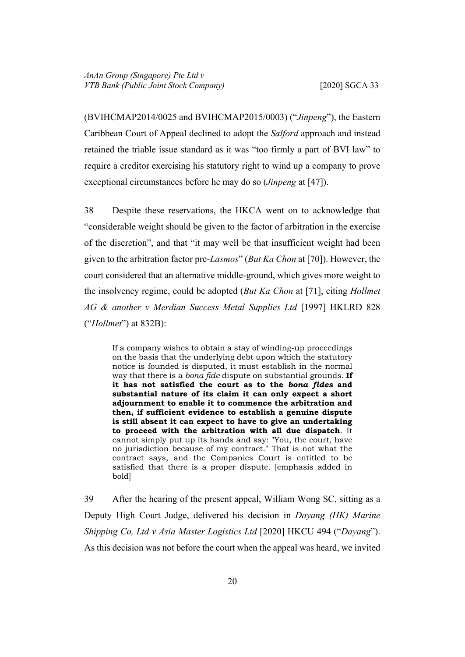(BVIHCMAP2014/0025 and BVIHCMAP2015/0003) ("*Jinpeng*"), the Eastern Caribbean Court of Appeal declined to adopt the *Salford* approach and instead retained the triable issue standard as it was "too firmly a part of BVI law" to require a creditor exercising his statutory right to wind up a company to prove exceptional circumstances before he may do so (*Jinpeng* at [47]).

<span id="page-23-1"></span>38 Despite these reservations, the HKCA went on to acknowledge that "considerable weight should be given to the factor of arbitration in the exercise of the discretion", and that "it may well be that insufficient weight had been given to the arbitration factor pre-*Lasmos*" (*But Ka Chon* at [70]). However, the court considered that an alternative middle-ground, which gives more weight to the insolvency regime, could be adopted (*But Ka Chon* at [71], citing *Hollmet AG & another v Merdian Success Metal Supplies Ltd* [1997] HKLRD 828 ("*Hollmet*") at 832B):

If a company wishes to obtain a stay of winding-up proceedings on the basis that the underlying debt upon which the statutory notice is founded is disputed, it must establish in the normal way that there is a *bona fide* dispute on substantial grounds. **If it has not satisfied the court as to the** *bona fides* **and substantial nature of its claim it can only expect a short adjournment to enable it to commence the arbitration and then, if sufficient evidence to establish a genuine dispute is still absent it can expect to have to give an undertaking to proceed with the arbitration with all due dispatch**. It cannot simply put up its hands and say: "You, the court, have no jurisdiction because of my contract." That is not what the contract says, and the Companies Court is entitled to be satisfied that there is a proper dispute. [emphasis added in bold]

<span id="page-23-0"></span>39 After the hearing of the present appeal, William Wong SC, sitting as a Deputy High Court Judge, delivered his decision in *Dayang (HK) Marine Shipping Co, Ltd v Asia Master Logistics Ltd* [2020] HKCU 494 ("*Dayang*"). As this decision was not before the court when the appeal was heard, we invited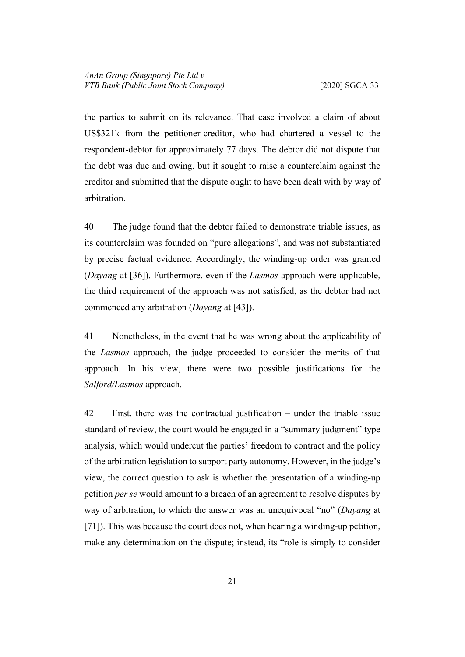the parties to submit on its relevance. That case involved a claim of about US\$321k from the petitioner-creditor, who had chartered a vessel to the respondent-debtor for approximately 77 days. The debtor did not dispute that the debt was due and owing, but it sought to raise a counterclaim against the creditor and submitted that the dispute ought to have been dealt with by way of arbitration.

40 The judge found that the debtor failed to demonstrate triable issues, as its counterclaim was founded on "pure allegations", and was not substantiated by precise factual evidence. Accordingly, the winding-up order was granted (*Dayang* at [36]). Furthermore, even if the *Lasmos* approach were applicable, the third requirement of the approach was not satisfied, as the debtor had not commenced any arbitration (*Dayang* at [43]).

41 Nonetheless, in the event that he was wrong about the applicability of the *Lasmos* approach, the judge proceeded to consider the merits of that approach. In his view, there were two possible justifications for the *Salford/Lasmos* approach.

42 First, there was the contractual justification – under the triable issue standard of review, the court would be engaged in a "summary judgment" type analysis, which would undercut the parties' freedom to contract and the policy of the arbitration legislation to support party autonomy. However, in the judge's view, the correct question to ask is whether the presentation of a winding-up petition *per se* would amount to a breach of an agreement to resolve disputes by way of arbitration, to which the answer was an unequivocal "no" (*Dayang* at [71]). This was because the court does not, when hearing a winding-up petition, make any determination on the dispute; instead, its "role is simply to consider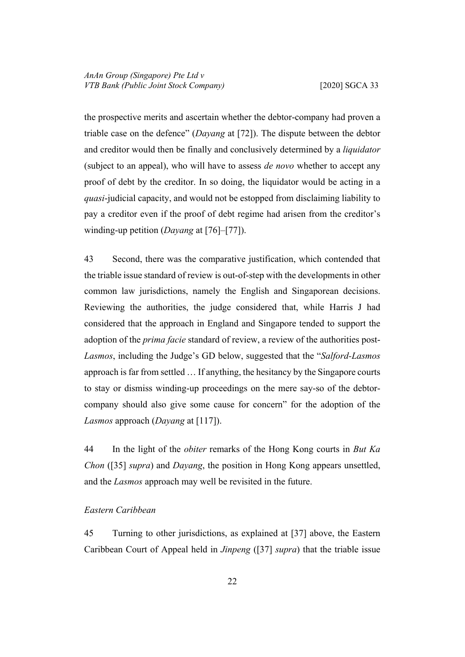the prospective merits and ascertain whether the debtor-company had proven a triable case on the defence" (*Dayang* at [72]). The dispute between the debtor and creditor would then be finally and conclusively determined by a *liquidator*  (subject to an appeal), who will have to assess *de novo* whether to accept any proof of debt by the creditor. In so doing, the liquidator would be acting in a *quasi*-judicial capacity, and would not be estopped from disclaiming liability to pay a creditor even if the proof of debt regime had arisen from the creditor's winding-up petition (*Dayang* at [76]–[77]).

43 Second, there was the comparative justification, which contended that the triable issue standard of review is out-of-step with the developments in other common law jurisdictions, namely the English and Singaporean decisions. Reviewing the authorities, the judge considered that, while Harris J had considered that the approach in England and Singapore tended to support the adoption of the *prima facie* standard of review, a review of the authorities post-*Lasmos*, including the Judge's GD below, suggested that the "*Salford-Lasmos*  approach is far from settled … If anything, the hesitancy by the Singapore courts to stay or dismiss winding-up proceedings on the mere say-so of the debtorcompany should also give some cause for concern" for the adoption of the *Lasmos* approach (*Dayang* at [117]).

44 In the light of the *obiter* remarks of the Hong Kong courts in *But Ka Chon* ([[35\]](#page-21-0) *supra*) and *Dayang*, the position in Hong Kong appears unsettled, and the *Lasmos* approach may well be revisited in the future.

# <span id="page-25-0"></span>*Eastern Caribbean*

45 Turning to other jurisdictions, as explained at [[37\]](#page-22-0) above, the Eastern Caribbean Court of Appeal held in *Jinpeng* ([\[37](#page-22-0)] *supra*) that the triable issue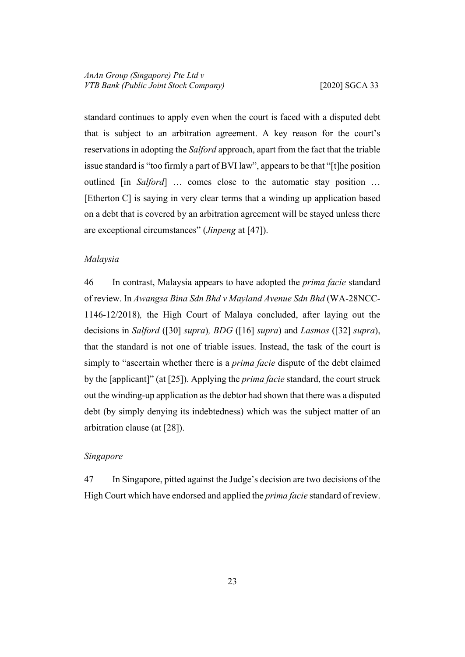standard continues to apply even when the court is faced with a disputed debt that is subject to an arbitration agreement. A key reason for the court's reservations in adopting the *Salford* approach, apart from the fact that the triable issue standard is "too firmly a part of BVI law", appears to be that "[t]he position outlined [in *Salford*] … comes close to the automatic stay position … [Etherton C] is saying in very clear terms that a winding up application based on a debt that is covered by an arbitration agreement will be stayed unless there are exceptional circumstances" (*Jinpeng* at [47]).

#### <span id="page-26-0"></span>*Malaysia*

46 In contrast, Malaysia appears to have adopted the *prima facie* standard of review. In *Awangsa Bina Sdn Bhd v Mayland Avenue Sdn Bhd* (WA-28NCC-1146-12/2018)*,* the High Court of Malaya concluded, after laying out the decisions in *Salford* ([\[30](#page-18-2)] *supra*)*, BDG* ([[16\]](#page-12-0) *supra*) and *Lasmos* ([[32\]](#page-20-2) *supra*), that the standard is not one of triable issues. Instead, the task of the court is simply to "ascertain whether there is a *prima facie* dispute of the debt claimed by the [applicant]" (at [25]). Applying the *prima facie* standard, the court struck out the winding-up application as the debtor had shown that there was a disputed debt (by simply denying its indebtedness) which was the subject matter of an arbitration clause (at [28]).

# <span id="page-26-1"></span>*Singapore*

47 In Singapore, pitted against the Judge's decision are two decisions of the High Court which have endorsed and applied the *prima facie* standard of review.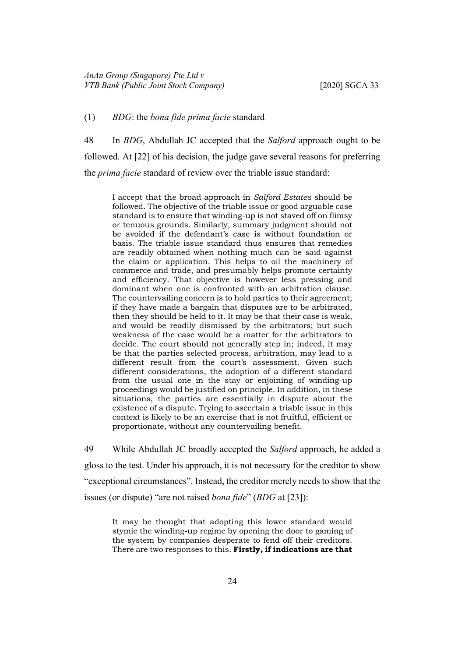## <span id="page-27-0"></span>(1) *BDG*: the *bona fide prima facie* standard

48 In *BDG*, Abdullah JC accepted that the *Salford* approach ought to be followed. At [22] of his decision, the judge gave several reasons for preferring the *prima facie* standard of review over the triable issue standard:

I accept that the broad approach in *Salford Estates* should be followed. The objective of the triable issue or good arguable case standard is to ensure that winding-up is not staved off on flimsy or tenuous grounds. Similarly, summary judgment should not be avoided if the defendant's case is without foundation or basis. The triable issue standard thus ensures that remedies are readily obtained when nothing much can be said against the claim or application. This helps to oil the machinery of commerce and trade, and presumably helps promote certainty and efficiency. That objective is however less pressing and dominant when one is confronted with an arbitration clause. The countervailing concern is to hold parties to their agreement; if they have made a bargain that disputes are to be arbitrated, then they should be held to it. It may be that their case is weak, and would be readily dismissed by the arbitrators; but such weakness of the case would be a matter for the arbitrators to decide. The court should not generally step in; indeed, it may be that the parties selected process, arbitration, may lead to a different result from the court's assessment. Given such different considerations, the adoption of a different standard from the usual one in the stay or enjoining of winding-up proceedings would be justified on principle. In addition, in these situations, the parties are essentially in dispute about the existence of a dispute. Trying to ascertain a triable issue in this context is likely to be an exercise that is not fruitful, efficient or proportionate, without any countervailing benefit.

49 While Abdullah JC broadly accepted the *Salford* approach, he added a gloss to the test. Under his approach, it is not necessary for the creditor to show "exceptional circumstances". Instead, the creditor merely needs to show that the issues (or dispute) "are not raised *bona fide*" (*BDG* at [23]):

It may be thought that adopting this lower standard would stymie the winding-up regime by opening the door to gaming of the system by companies desperate to fend off their creditors. There are two responses to this. **Firstly, if indications are that**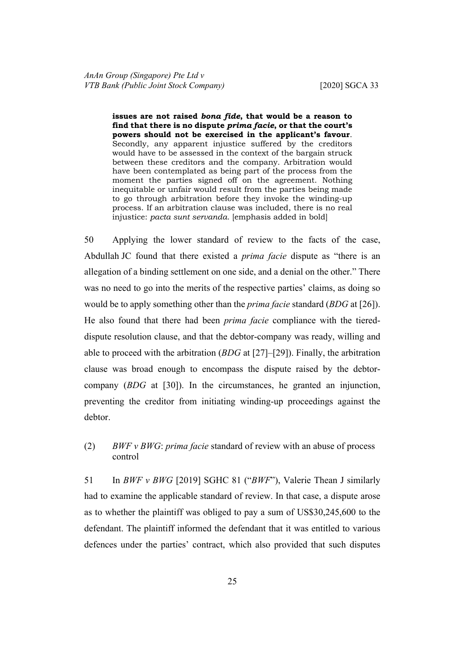**issues are not raised** *bona fide***, that would be a reason to find that there is no dispute** *prima facie***, or that the court's powers should not be exercised in the applicant's favour**. Secondly, any apparent injustice suffered by the creditors would have to be assessed in the context of the bargain struck between these creditors and the company. Arbitration would have been contemplated as being part of the process from the moment the parties signed off on the agreement. Nothing inequitable or unfair would result from the parties being made to go through arbitration before they invoke the winding-up process. If an arbitration clause was included, there is no real injustice: *pacta sunt servanda*. [emphasis added in bold]

50 Applying the lower standard of review to the facts of the case, Abdullah JC found that there existed a *prima facie* dispute as "there is an allegation of a binding settlement on one side, and a denial on the other." There was no need to go into the merits of the respective parties' claims, as doing so would be to apply something other than the *prima facie* standard (*BDG* at [26]). He also found that there had been *prima facie* compliance with the tiereddispute resolution clause, and that the debtor-company was ready, willing and able to proceed with the arbitration (*BDG* at [27]–[29]). Finally, the arbitration clause was broad enough to encompass the dispute raised by the debtorcompany (*BDG* at [30]). In the circumstances, he granted an injunction, preventing the creditor from initiating winding-up proceedings against the debtor.

<span id="page-28-0"></span>(2) *BWF v BWG*: *prima facie* standard of review with an abuse of process control

<span id="page-28-1"></span>51 In *BWF v BWG* [2019] SGHC 81 ("*BWF*"), Valerie Thean J similarly had to examine the applicable standard of review. In that case, a dispute arose as to whether the plaintiff was obliged to pay a sum of US\$30,245,600 to the defendant. The plaintiff informed the defendant that it was entitled to various defences under the parties' contract, which also provided that such disputes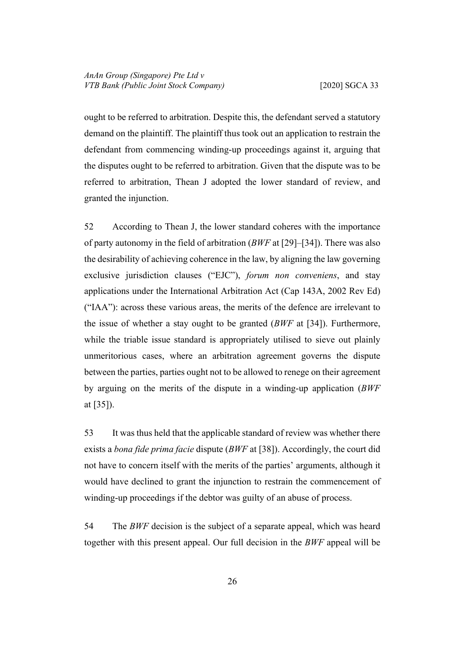ought to be referred to arbitration. Despite this, the defendant served a statutory demand on the plaintiff. The plaintiff thus took out an application to restrain the defendant from commencing winding-up proceedings against it, arguing that the disputes ought to be referred to arbitration. Given that the dispute was to be referred to arbitration, Thean J adopted the lower standard of review, and granted the injunction.

52 According to Thean J, the lower standard coheres with the importance of party autonomy in the field of arbitration (*BWF* at [29]–[34]). There was also the desirability of achieving coherence in the law, by aligning the law governing exclusive jurisdiction clauses ("EJC"), *forum non conveniens*, and stay applications under the International Arbitration Act (Cap 143A, 2002 Rev Ed) ("IAA"): across these various areas, the merits of the defence are irrelevant to the issue of whether a stay ought to be granted (*BWF* at [34]). Furthermore, while the triable issue standard is appropriately utilised to sieve out plainly unmeritorious cases, where an arbitration agreement governs the dispute between the parties, parties ought not to be allowed to renege on their agreement by arguing on the merits of the dispute in a winding-up application (*BWF*  at [35]).

53 It was thus held that the applicable standard of review was whether there exists a *bona fide prima facie* dispute (*BWF* at [38]). Accordingly, the court did not have to concern itself with the merits of the parties' arguments, although it would have declined to grant the injunction to restrain the commencement of winding-up proceedings if the debtor was guilty of an abuse of process.

54 The *BWF* decision is the subject of a separate appeal, which was heard together with this present appeal. Our full decision in the *BWF* appeal will be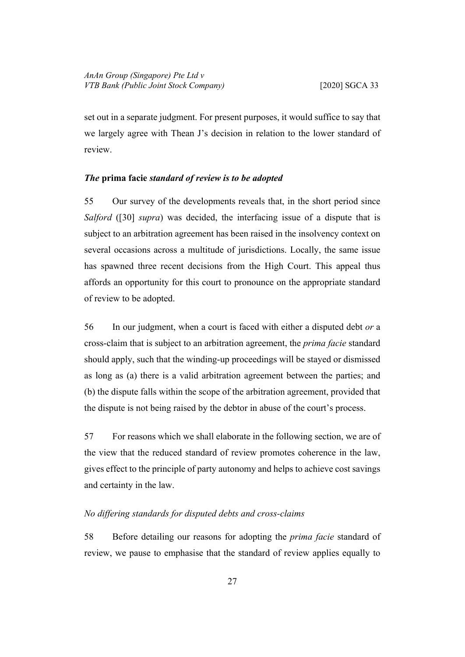set out in a separate judgment. For present purposes, it would suffice to say that we largely agree with Thean J's decision in relation to the lower standard of review.

### <span id="page-30-0"></span>*The* **prima facie** *standard of review is to be adopted*

55 Our survey of the developments reveals that, in the short period since *Salford* ([[30\]](#page-18-2) *supra*) was decided, the interfacing issue of a dispute that is subject to an arbitration agreement has been raised in the insolvency context on several occasions across a multitude of jurisdictions. Locally, the same issue has spawned three recent decisions from the High Court. This appeal thus affords an opportunity for this court to pronounce on the appropriate standard of review to be adopted.

56 In our judgment, when a court is faced with either a disputed debt *or* a cross-claim that is subject to an arbitration agreement, the *prima facie* standard should apply, such that the winding-up proceedings will be stayed or dismissed as long as (a) there is a valid arbitration agreement between the parties; and (b) the dispute falls within the scope of the arbitration agreement, provided that the dispute is not being raised by the debtor in abuse of the court's process.

57 For reasons which we shall elaborate in the following section, we are of the view that the reduced standard of review promotes coherence in the law, gives effect to the principle of party autonomy and helps to achieve cost savings and certainty in the law.

# <span id="page-30-1"></span>*No differing standards for disputed debts and cross-claims*

58 Before detailing our reasons for adopting the *prima facie* standard of review, we pause to emphasise that the standard of review applies equally to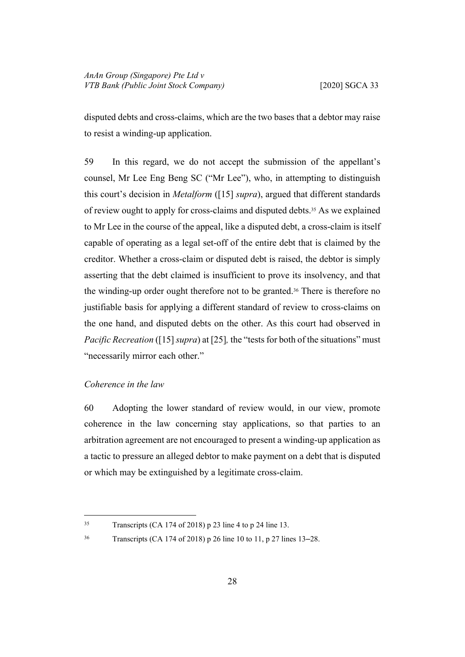disputed debts and cross-claims, which are the two bases that a debtor may raise to resist a winding-up application.

59 In this regard, we do not accept the submission of the appellant's counsel, Mr Lee Eng Beng SC ("Mr Lee"), who, in attempting to distinguish this court's decision in *Metalform* ([\[15](#page-11-2)] *supra*), argued that different standards of review ought to apply for cross-claims and disputed debts.35 As we explained to Mr Lee in the course of the appeal, like a disputed debt, a cross-claim is itself capable of operating as a legal set-off of the entire debt that is claimed by the creditor. Whether a cross-claim or disputed debt is raised, the debtor is simply asserting that the debt claimed is insufficient to prove its insolvency, and that the winding-up order ought therefore not to be granted.36 There is therefore no justifiable basis for applying a different standard of review to cross-claims on the one hand, and disputed debts on the other. As this court had observed in *Pacific Recreation* ([\[15](#page-11-2)] *supra*) at [25], the "tests for both of the situations" must "necessarily mirror each other."

# <span id="page-31-0"></span>*Coherence in the law*

60 Adopting the lower standard of review would, in our view, promote coherence in the law concerning stay applications, so that parties to an arbitration agreement are not encouraged to present a winding-up application as a tactic to pressure an alleged debtor to make payment on a debt that is disputed or which may be extinguished by a legitimate cross-claim.

<sup>35</sup> Transcripts (CA 174 of 2018) p 23 line 4 to p 24 line 13.

<sup>36</sup> Transcripts (CA 174 of 2018) p 26 line 10 to 11, p 27 lines 13–28.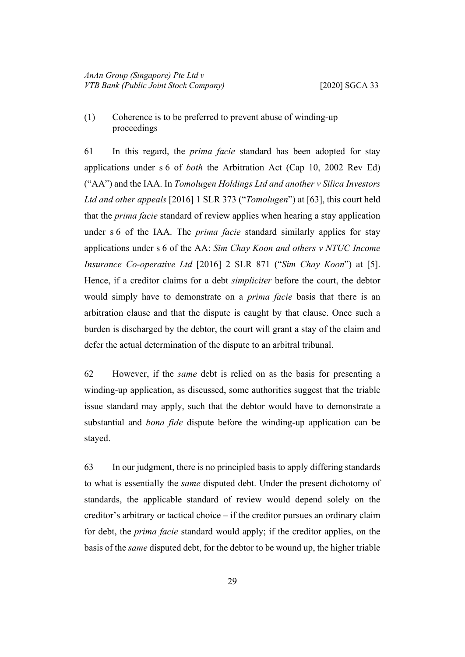<span id="page-32-0"></span>(1) Coherence is to be preferred to prevent abuse of winding-up proceedings

<span id="page-32-1"></span>61 In this regard, the *prima facie* standard has been adopted for stay applications under s 6 of *both* the Arbitration Act (Cap 10, 2002 Rev Ed) ("AA") and the IAA. In *Tomolugen Holdings Ltd and another v Silica Investors Ltd and other appeals* [2016] 1 SLR 373 ("*Tomolugen*") at [63], this court held that the *prima facie* standard of review applies when hearing a stay application under s 6 of the IAA. The *prima facie* standard similarly applies for stay applications under s 6 of the AA: *Sim Chay Koon and others v NTUC Income Insurance Co-operative Ltd* [2016] 2 SLR 871 ("*Sim Chay Koon*") at [5]. Hence, if a creditor claims for a debt *simpliciter* before the court, the debtor would simply have to demonstrate on a *prima facie* basis that there is an arbitration clause and that the dispute is caught by that clause. Once such a burden is discharged by the debtor, the court will grant a stay of the claim and defer the actual determination of the dispute to an arbitral tribunal.

62 However, if the *same* debt is relied on as the basis for presenting a winding-up application, as discussed, some authorities suggest that the triable issue standard may apply, such that the debtor would have to demonstrate a substantial and *bona fide* dispute before the winding-up application can be stayed.

63 In our judgment, there is no principled basis to apply differing standards to what is essentially the *same* disputed debt. Under the present dichotomy of standards, the applicable standard of review would depend solely on the creditor's arbitrary or tactical choice – if the creditor pursues an ordinary claim for debt, the *prima facie* standard would apply; if the creditor applies, on the basis of the *same* disputed debt, for the debtor to be wound up, the higher triable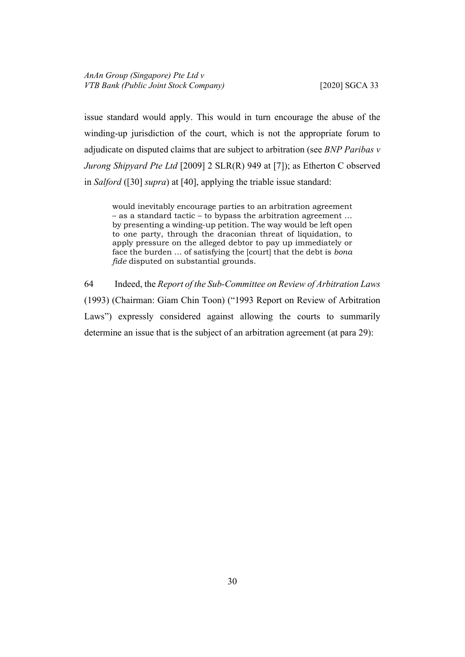issue standard would apply. This would in turn encourage the abuse of the winding-up jurisdiction of the court, which is not the appropriate forum to adjudicate on disputed claims that are subject to arbitration (see *BNP Paribas v Jurong Shipyard Pte Ltd* [2009] 2 SLR(R) 949 at [7]); as Etherton C observed in *Salford* ([[30\]](#page-18-2) *supra*) at [40], applying the triable issue standard:

would inevitably encourage parties to an arbitration agreement – as a standard tactic – to bypass the arbitration agreement … by presenting a winding-up petition. The way would be left open to one party, through the draconian threat of liquidation, to apply pressure on the alleged debtor to pay up immediately or face the burden … of satisfying the [court] that the debt is *bona fide* disputed on substantial grounds.

64 Indeed, the *Report of the Sub-Committee on Review of Arbitration Laws*  (1993) (Chairman: Giam Chin Toon) ("1993 Report on Review of Arbitration Laws") expressly considered against allowing the courts to summarily determine an issue that is the subject of an arbitration agreement (at para 29):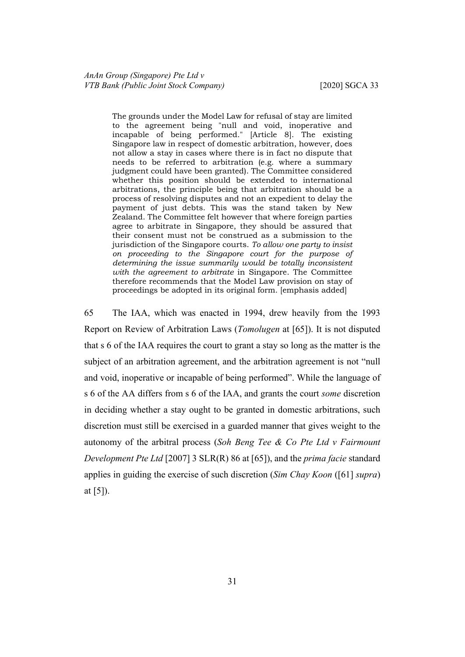The grounds under the Model Law for refusal of stay are limited to the agreement being "null and void, inoperative and incapable of being performed." [Article 8]. The existing Singapore law in respect of domestic arbitration, however, does not allow a stay in cases where there is in fact no dispute that needs to be referred to arbitration (e.g. where a summary judgment could have been granted). The Committee considered whether this position should be extended to international arbitrations, the principle being that arbitration should be a process of resolving disputes and not an expedient to delay the payment of just debts. This was the stand taken by New Zealand. The Committee felt however that where foreign parties agree to arbitrate in Singapore, they should be assured that their consent must not be construed as a submission to the jurisdiction of the Singapore courts. *To allow one party to insist on proceeding to the Singapore court for the purpose of determining the issue summarily would be totally inconsistent with the agreement to arbitrate* in Singapore. The Committee therefore recommends that the Model Law provision on stay of proceedings be adopted in its original form. [emphasis added]

65 The IAA, which was enacted in 1994, drew heavily from the 1993 Report on Review of Arbitration Laws (*Tomolugen* at [65]). It is not disputed that s 6 of the IAA requires the court to grant a stay so long as the matter is the subject of an arbitration agreement, and the arbitration agreement is not "null and void, inoperative or incapable of being performed". While the language of s 6 of the AA differs from s 6 of the IAA, and grants the court *some* discretion in deciding whether a stay ought to be granted in domestic arbitrations, such discretion must still be exercised in a guarded manner that gives weight to the autonomy of the arbitral process (*Soh Beng Tee & Co Pte Ltd v Fairmount Development Pte Ltd* [2007] 3 SLR(R) 86 at [65]), and the *prima facie* standard applies in guiding the exercise of such discretion (*Sim Chay Koon* ([[61\]](#page-32-1) *supra*) at [5]).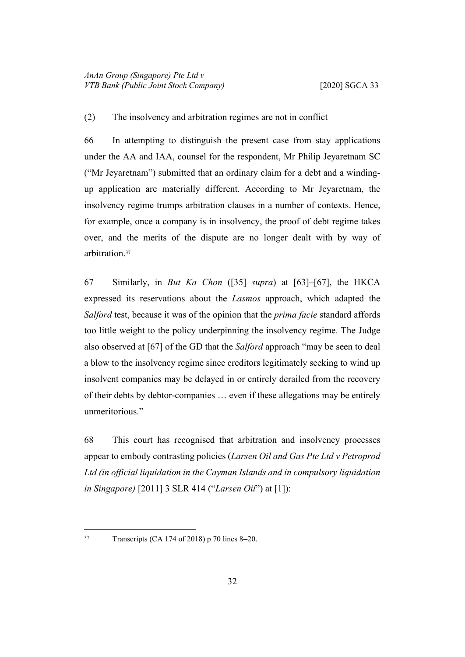# <span id="page-35-0"></span>(2) The insolvency and arbitration regimes are not in conflict

66 In attempting to distinguish the present case from stay applications under the AA and IAA, counsel for the respondent, Mr Philip Jeyaretnam SC ("Mr Jeyaretnam") submitted that an ordinary claim for a debt and a windingup application are materially different. According to Mr Jeyaretnam, the insolvency regime trumps arbitration clauses in a number of contexts. Hence, for example, once a company is in insolvency, the proof of debt regime takes over, and the merits of the dispute are no longer dealt with by way of arbitration.<sup>37</sup>

67 Similarly, in *But Ka Chon* ([[35\]](#page-21-0) *supra*) at [63]–[67], the HKCA expressed its reservations about the *Lasmos* approach, which adapted the *Salford* test, because it was of the opinion that the *prima facie* standard affords too little weight to the policy underpinning the insolvency regime. The Judge also observed at [67] of the GD that the *Salford* approach "may be seen to deal a blow to the insolvency regime since creditors legitimately seeking to wind up insolvent companies may be delayed in or entirely derailed from the recovery of their debts by debtor-companies … even if these allegations may be entirely unmeritorious."

68 This court has recognised that arbitration and insolvency processes appear to embody contrasting policies (*Larsen Oil and Gas Pte Ltd v Petroprod Ltd (in official liquidation in the Cayman Islands and in compulsory liquidation in Singapore)* [2011] 3 SLR 414 ("*Larsen Oil*") at [1]):

<sup>37</sup> Transcripts (CA 174 of 2018) p 70 lines 8–20.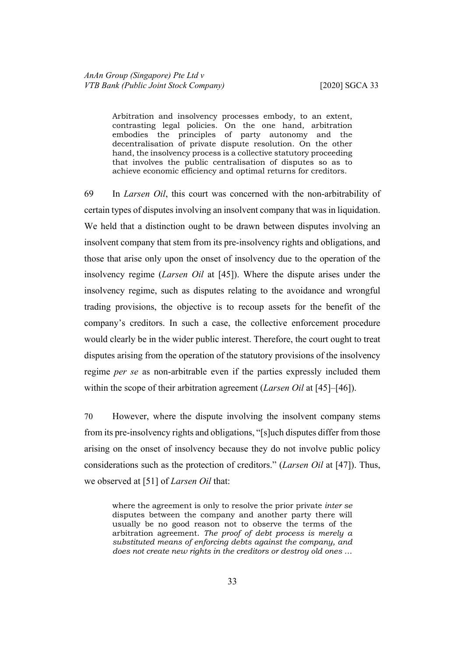Arbitration and insolvency processes embody, to an extent, contrasting legal policies. On the one hand, arbitration embodies the principles of party autonomy and the decentralisation of private dispute resolution. On the other hand, the insolvency process is a collective statutory proceeding that involves the public centralisation of disputes so as to achieve economic efficiency and optimal returns for creditors.

69 In *Larsen Oil*, this court was concerned with the non-arbitrability of certain types of disputes involving an insolvent company that was in liquidation. We held that a distinction ought to be drawn between disputes involving an insolvent company that stem from its pre-insolvency rights and obligations, and those that arise only upon the onset of insolvency due to the operation of the insolvency regime (*Larsen Oil* at [45]). Where the dispute arises under the insolvency regime, such as disputes relating to the avoidance and wrongful trading provisions, the objective is to recoup assets for the benefit of the company's creditors. In such a case, the collective enforcement procedure would clearly be in the wider public interest. Therefore, the court ought to treat disputes arising from the operation of the statutory provisions of the insolvency regime *per se* as non-arbitrable even if the parties expressly included them within the scope of their arbitration agreement (*Larsen Oil* at [45]–[46]).

70 However, where the dispute involving the insolvent company stems from its pre-insolvency rights and obligations, "[s]uch disputes differ from those arising on the onset of insolvency because they do not involve public policy considerations such as the protection of creditors." (*Larsen Oil* at [47]). Thus, we observed at [51] of *Larsen Oil* that:

where the agreement is only to resolve the prior private *inter se*  disputes between the company and another party there will usually be no good reason not to observe the terms of the arbitration agreement. *The proof of debt process is merely a substituted means of enforcing debts against the company, and does not create new rights in the creditors or destroy old ones* …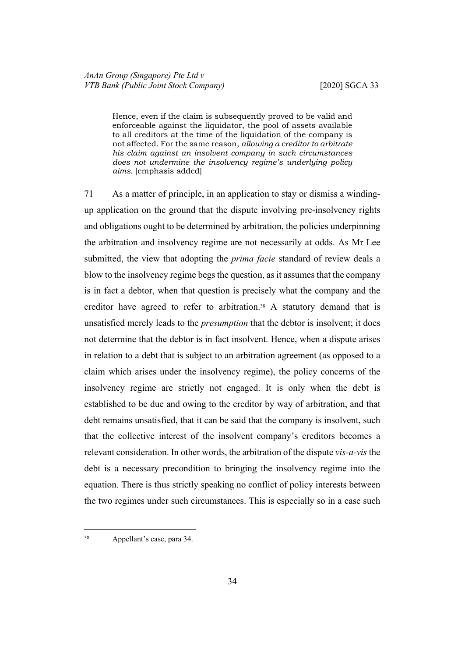Hence, even if the claim is subsequently proved to be valid and enforceable against the liquidator, the pool of assets available to all creditors at the time of the liquidation of the company is not affected. For the same reason, *allowing a creditor to arbitrate his claim against an insolvent company in such circumstances does not undermine the insolvency regime's underlying policy aims.* [emphasis added]

71 As a matter of principle, in an application to stay or dismiss a windingup application on the ground that the dispute involving pre-insolvency rights and obligations ought to be determined by arbitration, the policies underpinning the arbitration and insolvency regime are not necessarily at odds. As Mr Lee submitted, the view that adopting the *prima facie* standard of review deals a blow to the insolvency regime begs the question, as it assumes that the company is in fact a debtor, when that question is precisely what the company and the creditor have agreed to refer to arbitration.38 A statutory demand that is unsatisfied merely leads to the *presumption* that the debtor is insolvent; it does not determine that the debtor is in fact insolvent. Hence, when a dispute arises in relation to a debt that is subject to an arbitration agreement (as opposed to a claim which arises under the insolvency regime), the policy concerns of the insolvency regime are strictly not engaged. It is only when the debt is established to be due and owing to the creditor by way of arbitration, and that debt remains unsatisfied, that it can be said that the company is insolvent, such that the collective interest of the insolvent company's creditors becomes a relevant consideration. In other words, the arbitration of the dispute *vis-a-vis* the debt is a necessary precondition to bringing the insolvency regime into the equation. There is thus strictly speaking no conflict of policy interests between the two regimes under such circumstances. This is especially so in a case such

<sup>38</sup> Appellant's case, para 34.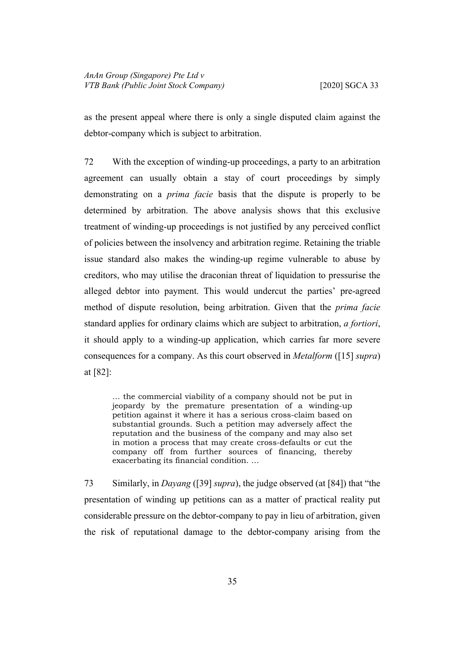as the present appeal where there is only a single disputed claim against the debtor-company which is subject to arbitration.

72 With the exception of winding-up proceedings, a party to an arbitration agreement can usually obtain a stay of court proceedings by simply demonstrating on a *prima facie* basis that the dispute is properly to be determined by arbitration. The above analysis shows that this exclusive treatment of winding-up proceedings is not justified by any perceived conflict of policies between the insolvency and arbitration regime. Retaining the triable issue standard also makes the winding-up regime vulnerable to abuse by creditors, who may utilise the draconian threat of liquidation to pressurise the alleged debtor into payment. This would undercut the parties' pre-agreed method of dispute resolution, being arbitration. Given that the *prima facie*  standard applies for ordinary claims which are subject to arbitration, *a fortiori*, it should apply to a winding-up application, which carries far more severe consequences for a company. As this court observed in *Metalform* ([\[15](#page-11-2)] *supra*) at [82]:

… the commercial viability of a company should not be put in jeopardy by the premature presentation of a winding-up petition against it where it has a serious cross-claim based on substantial grounds. Such a petition may adversely affect the reputation and the business of the company and may also set in motion a process that may create cross-defaults or cut the company off from further sources of financing, thereby exacerbating its financial condition. …

73 Similarly, in *Dayang* ([\[39](#page-23-0)] *supra*), the judge observed (at [84]) that "the presentation of winding up petitions can as a matter of practical reality put considerable pressure on the debtor-company to pay in lieu of arbitration, given the risk of reputational damage to the debtor-company arising from the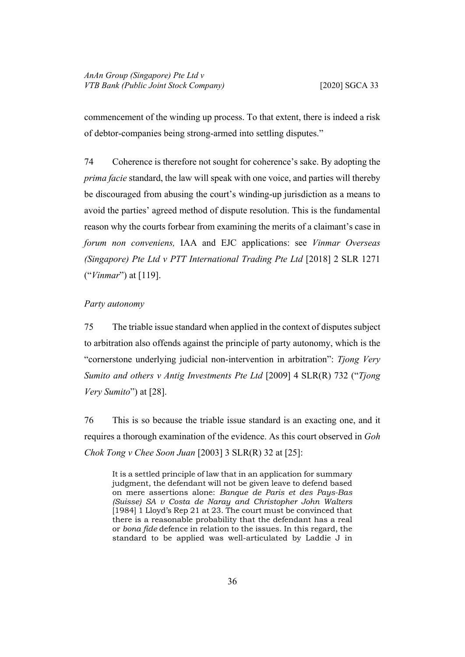commencement of the winding up process. To that extent, there is indeed a risk of debtor-companies being strong-armed into settling disputes."

<span id="page-39-1"></span>74 Coherence is therefore not sought for coherence's sake. By adopting the *prima facie* standard, the law will speak with one voice, and parties will thereby be discouraged from abusing the court's winding-up jurisdiction as a means to avoid the parties' agreed method of dispute resolution. This is the fundamental reason why the courts forbear from examining the merits of a claimant's case in *forum non conveniens,* IAA and EJC applications: see *Vinmar Overseas (Singapore) Pte Ltd v PTT International Trading Pte Ltd* [2018] 2 SLR 1271 ("*Vinmar*") at [119].

#### <span id="page-39-2"></span><span id="page-39-0"></span>*Party autonomy*

75 The triable issue standard when applied in the context of disputes subject to arbitration also offends against the principle of party autonomy, which is the "cornerstone underlying judicial non-intervention in arbitration": *Tjong Very Sumito and others v Antig Investments Pte Ltd* [2009] 4 SLR(R) 732 ("*Tjong Very Sumito*") at [28].

76 This is so because the triable issue standard is an exacting one, and it requires a thorough examination of the evidence. As this court observed in *Goh Chok Tong v Chee Soon Juan* [2003] 3 SLR(R) 32 at [25]:

It is a settled principle of law that in an application for summary judgment, the defendant will not be given leave to defend based on mere assertions alone: *Banque de Paris et des Pays-Bas (Suisse) SA v Costa de Naray and Christopher John Walters*  [1984] 1 Lloyd's Rep 21 at 23. The court must be convinced that there is a reasonable probability that the defendant has a real or *bona fide* defence in relation to the issues. In this regard, the standard to be applied was well-articulated by Laddie J in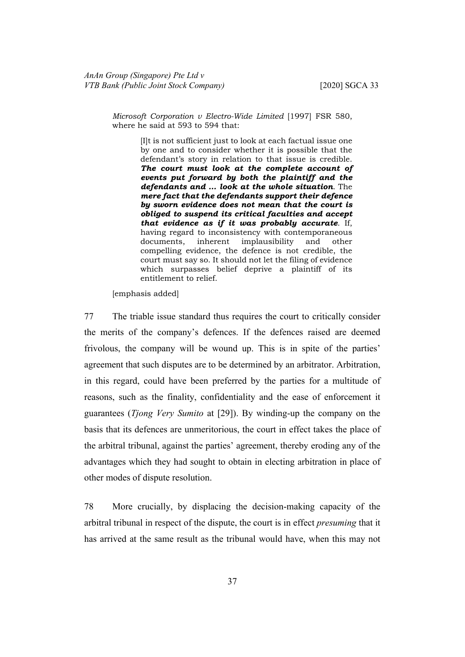*Microsoft Corporation v Electro-Wide Limited* [1997] FSR 580, where he said at 593 to 594 that:

> [I]t is not sufficient just to look at each factual issue one by one and to consider whether it is possible that the defendant's story in relation to that issue is credible. *The court must look at the complete account of events put forward by both the plaintiff and the defendants and … look at the whole situation*. The *mere fact that the defendants support their defence by sworn evidence does not mean that the court is obliged to suspend its critical faculties and accept that evidence as if it was probably accurate*. If, having regard to inconsistency with contemporaneous documents, inherent implausibility and other compelling evidence, the defence is not credible, the court must say so. It should not let the filing of evidence which surpasses belief deprive a plaintiff of its entitlement to relief.

[emphasis added]

77 The triable issue standard thus requires the court to critically consider the merits of the company's defences. If the defences raised are deemed frivolous, the company will be wound up. This is in spite of the parties' agreement that such disputes are to be determined by an arbitrator. Arbitration, in this regard, could have been preferred by the parties for a multitude of reasons, such as the finality, confidentiality and the ease of enforcement it guarantees (*Tjong Very Sumito* at [29]). By winding-up the company on the basis that its defences are unmeritorious, the court in effect takes the place of the arbitral tribunal, against the parties' agreement, thereby eroding any of the advantages which they had sought to obtain in electing arbitration in place of other modes of dispute resolution.

78 More crucially, by displacing the decision-making capacity of the arbitral tribunal in respect of the dispute, the court is in effect *presuming* that it has arrived at the same result as the tribunal would have, when this may not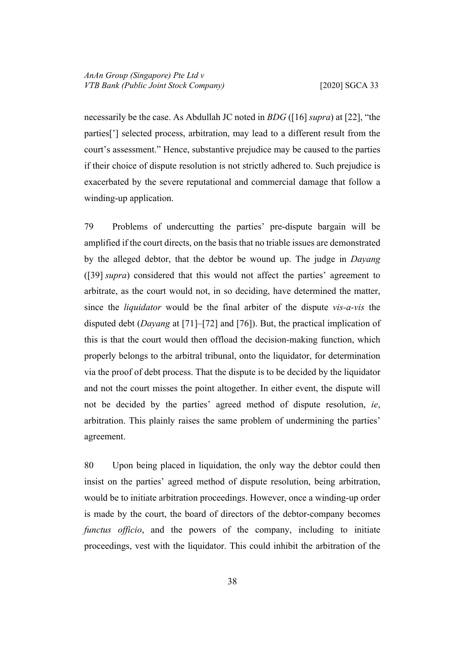necessarily be the case. As Abdullah JC noted in *BDG* ([[16\]](#page-12-0) *supra*) at [22], "the parties['] selected process, arbitration, may lead to a different result from the court's assessment." Hence, substantive prejudice may be caused to the parties if their choice of dispute resolution is not strictly adhered to. Such prejudice is exacerbated by the severe reputational and commercial damage that follow a winding-up application.

79 Problems of undercutting the parties' pre-dispute bargain will be amplified if the court directs, on the basis that no triable issues are demonstrated by the alleged debtor, that the debtor be wound up. The judge in *Dayang*  ([[39\]](#page-23-0) *supra*) considered that this would not affect the parties' agreement to arbitrate, as the court would not, in so deciding, have determined the matter, since the *liquidator* would be the final arbiter of the dispute *vis-a-vis* the disputed debt (*Dayang* at [71]–[72] and [76]). But, the practical implication of this is that the court would then offload the decision-making function, which properly belongs to the arbitral tribunal, onto the liquidator, for determination via the proof of debt process. That the dispute is to be decided by the liquidator and not the court misses the point altogether. In either event, the dispute will not be decided by the parties' agreed method of dispute resolution, *ie*, arbitration. This plainly raises the same problem of undermining the parties' agreement.

80 Upon being placed in liquidation, the only way the debtor could then insist on the parties' agreed method of dispute resolution, being arbitration, would be to initiate arbitration proceedings. However, once a winding-up order is made by the court, the board of directors of the debtor-company becomes *functus officio*, and the powers of the company, including to initiate proceedings, vest with the liquidator. This could inhibit the arbitration of the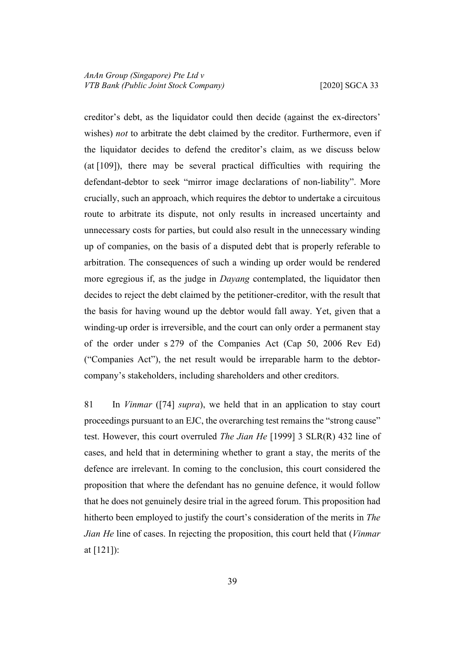creditor's debt, as the liquidator could then decide (against the ex-directors' wishes) *not* to arbitrate the debt claimed by the creditor. Furthermore, even if the liquidator decides to defend the creditor's claim, as we discuss below (at [[109\]](#page-55-0)), there may be several practical difficulties with requiring the defendant-debtor to seek "mirror image declarations of non-liability". More crucially, such an approach, which requires the debtor to undertake a circuitous route to arbitrate its dispute, not only results in increased uncertainty and unnecessary costs for parties, but could also result in the unnecessary winding up of companies, on the basis of a disputed debt that is properly referable to arbitration. The consequences of such a winding up order would be rendered more egregious if, as the judge in *Dayang* contemplated, the liquidator then decides to reject the debt claimed by the petitioner-creditor, with the result that the basis for having wound up the debtor would fall away. Yet, given that a winding-up order is irreversible, and the court can only order a permanent stay of the order under s 279 of the Companies Act (Cap 50, 2006 Rev Ed) ("Companies Act"), the net result would be irreparable harm to the debtorcompany's stakeholders, including shareholders and other creditors.

81 In *Vinmar* ([[74\]](#page-39-1) *supra*), we held that in an application to stay court proceedings pursuant to an EJC, the overarching test remains the "strong cause" test. However, this court overruled *The Jian He* [1999] 3 SLR(R) 432 line of cases, and held that in determining whether to grant a stay, the merits of the defence are irrelevant. In coming to the conclusion, this court considered the proposition that where the defendant has no genuine defence, it would follow that he does not genuinely desire trial in the agreed forum. This proposition had hitherto been employed to justify the court's consideration of the merits in *The Jian He* line of cases. In rejecting the proposition, this court held that (*Vinmar*  at [121]):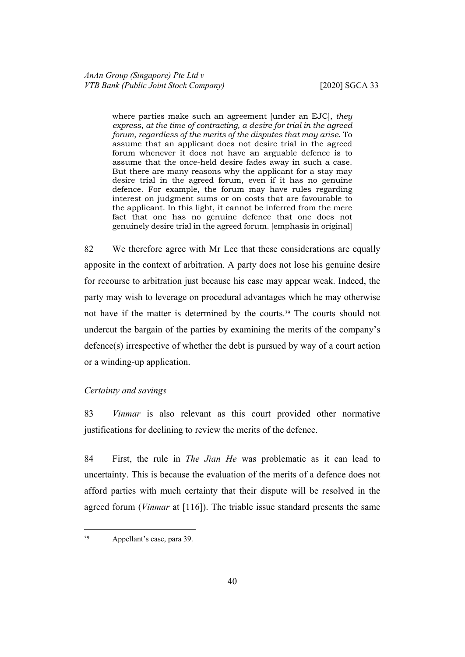where parties make such an agreement [under an EJC], *they express, at the time of contracting, a desire for trial in the agreed forum, regardless of the merits of the disputes that may arise*. To assume that an applicant does not desire trial in the agreed forum whenever it does not have an arguable defence is to assume that the once-held desire fades away in such a case. But there are many reasons why the applicant for a stay may desire trial in the agreed forum, even if it has no genuine defence. For example, the forum may have rules regarding interest on judgment sums or on costs that are favourable to the applicant. In this light, it cannot be inferred from the mere fact that one has no genuine defence that one does not genuinely desire trial in the agreed forum. [emphasis in original]

82 We therefore agree with Mr Lee that these considerations are equally apposite in the context of arbitration. A party does not lose his genuine desire for recourse to arbitration just because his case may appear weak. Indeed, the party may wish to leverage on procedural advantages which he may otherwise not have if the matter is determined by the courts.<sup>39</sup> The courts should not undercut the bargain of the parties by examining the merits of the company's defence(s) irrespective of whether the debt is pursued by way of a court action or a winding-up application.

# <span id="page-43-0"></span>*Certainty and savings*

83 *Vinmar* is also relevant as this court provided other normative justifications for declining to review the merits of the defence.

84 First, the rule in *The Jian He* was problematic as it can lead to uncertainty. This is because the evaluation of the merits of a defence does not afford parties with much certainty that their dispute will be resolved in the agreed forum (*Vinmar* at [116]). The triable issue standard presents the same

<sup>39</sup> Appellant's case, para 39.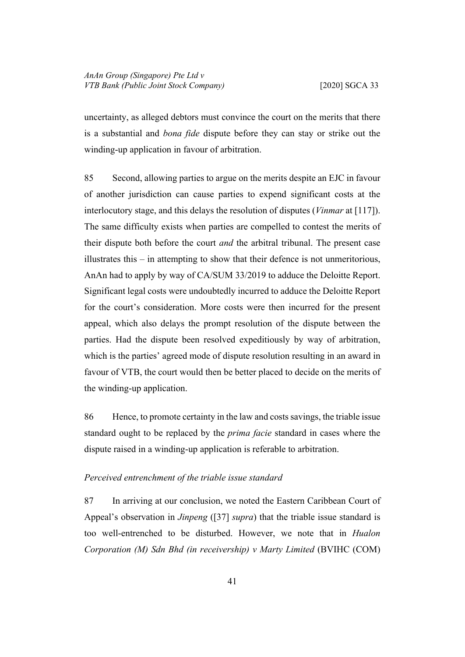uncertainty, as alleged debtors must convince the court on the merits that there is a substantial and *bona fide* dispute before they can stay or strike out the winding-up application in favour of arbitration.

85 Second, allowing parties to argue on the merits despite an EJC in favour of another jurisdiction can cause parties to expend significant costs at the interlocutory stage, and this delays the resolution of disputes (*Vinmar* at [117]). The same difficulty exists when parties are compelled to contest the merits of their dispute both before the court *and* the arbitral tribunal. The present case illustrates this – in attempting to show that their defence is not unmeritorious, AnAn had to apply by way of CA/SUM 33/2019 to adduce the Deloitte Report. Significant legal costs were undoubtedly incurred to adduce the Deloitte Report for the court's consideration. More costs were then incurred for the present appeal, which also delays the prompt resolution of the dispute between the parties. Had the dispute been resolved expeditiously by way of arbitration, which is the parties' agreed mode of dispute resolution resulting in an award in favour of VTB, the court would then be better placed to decide on the merits of the winding-up application.

86 Hence, to promote certainty in the law and costs savings, the triable issue standard ought to be replaced by the *prima facie* standard in cases where the dispute raised in a winding-up application is referable to arbitration.

#### <span id="page-44-0"></span>*Perceived entrenchment of the triable issue standard*

87 In arriving at our conclusion, we noted the Eastern Caribbean Court of Appeal's observation in *Jinpeng* ([[37\]](#page-22-0) *supra*) that the triable issue standard is too well-entrenched to be disturbed. However, we note that in *Hualon Corporation (M) Sdn Bhd (in receivership) v Marty Limited* (BVIHC (COM)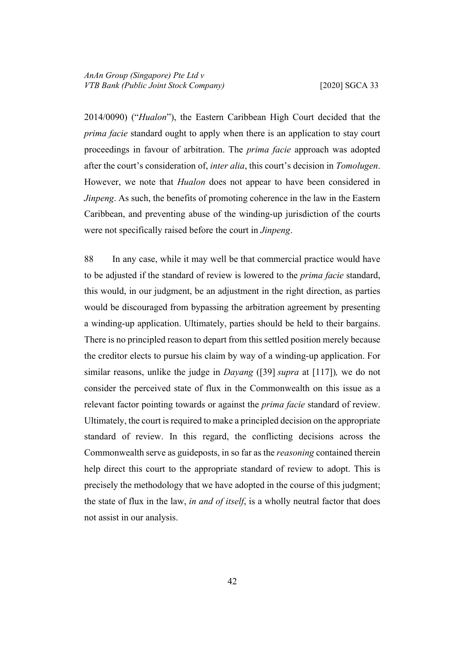2014/0090) ("*Hualon*"), the Eastern Caribbean High Court decided that the *prima facie* standard ought to apply when there is an application to stay court proceedings in favour of arbitration. The *prima facie* approach was adopted after the court's consideration of, *inter alia*, this court's decision in *Tomolugen*. However, we note that *Hualon* does not appear to have been considered in *Jinpeng*. As such, the benefits of promoting coherence in the law in the Eastern Caribbean, and preventing abuse of the winding-up jurisdiction of the courts were not specifically raised before the court in *Jinpeng*.

88 In any case, while it may well be that commercial practice would have to be adjusted if the standard of review is lowered to the *prima facie* standard, this would, in our judgment, be an adjustment in the right direction, as parties would be discouraged from bypassing the arbitration agreement by presenting a winding-up application. Ultimately, parties should be held to their bargains. There is no principled reason to depart from this settled position merely because the creditor elects to pursue his claim by way of a winding-up application. For similar reasons, unlike the judge in *Dayang* ([[39\]](#page-23-0) *supra* at [117])*,* we do not consider the perceived state of flux in the Commonwealth on this issue as a relevant factor pointing towards or against the *prima facie* standard of review. Ultimately, the court is required to make a principled decision on the appropriate standard of review. In this regard, the conflicting decisions across the Commonwealth serve as guideposts, in so far as the *reasoning* contained therein help direct this court to the appropriate standard of review to adopt. This is precisely the methodology that we have adopted in the course of this judgment; the state of flux in the law, *in and of itself*, is a wholly neutral factor that does not assist in our analysis.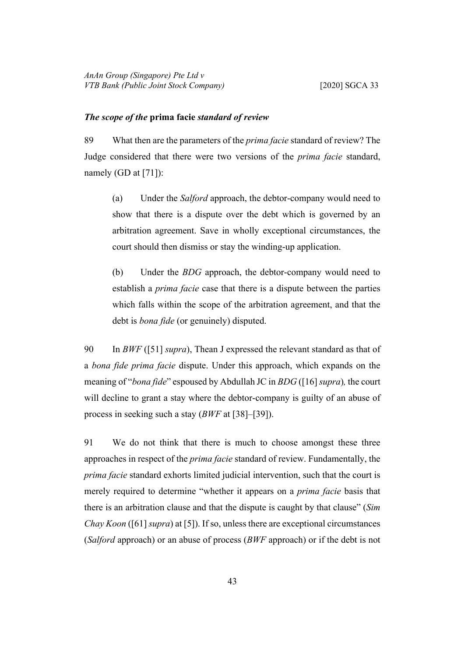#### <span id="page-46-0"></span>*The scope of the* **prima facie** *standard of review*

89 What then are the parameters of the *prima facie* standard of review? The Judge considered that there were two versions of the *prima facie* standard, namely (GD at [71]):

(a) Under the *Salford* approach, the debtor-company would need to show that there is a dispute over the debt which is governed by an arbitration agreement. Save in wholly exceptional circumstances, the court should then dismiss or stay the winding-up application.

(b) Under the *BDG* approach, the debtor-company would need to establish a *prima facie* case that there is a dispute between the parties which falls within the scope of the arbitration agreement, and that the debt is *bona fide* (or genuinely) disputed.

90 In *BWF* ([[51\]](#page-28-1) *supra*), Thean J expressed the relevant standard as that of a *bona fide prima facie* dispute. Under this approach, which expands on the meaning of "*bona fide*" espoused by Abdullah JC in *BDG* ([[16\]](#page-12-0) *supra*)*,* the court will decline to grant a stay where the debtor-company is guilty of an abuse of process in seeking such a stay (*BWF* at [38]–[39]).

91 We do not think that there is much to choose amongst these three approaches in respect of the *prima facie* standard of review. Fundamentally, the *prima facie* standard exhorts limited judicial intervention, such that the court is merely required to determine "whether it appears on a *prima facie* basis that there is an arbitration clause and that the dispute is caught by that clause" (*Sim Chay Koon* ([\[61](#page-32-1)] *supra*) at [5]). If so, unless there are exceptional circumstances (*Salford* approach) or an abuse of process (*BWF* approach) or if the debt is not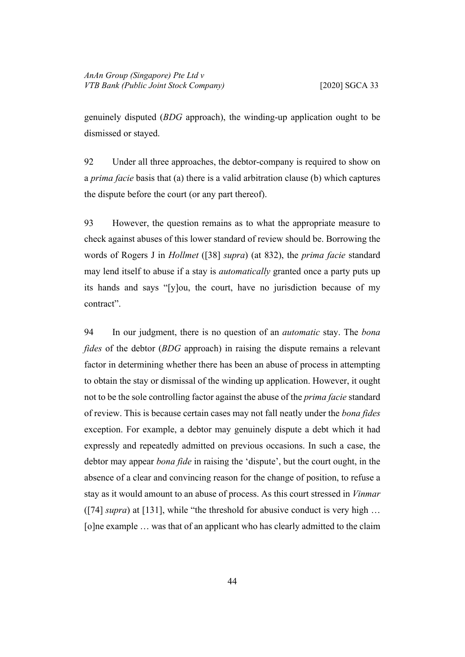genuinely disputed (*BDG* approach), the winding-up application ought to be dismissed or stayed.

92 Under all three approaches, the debtor-company is required to show on a *prima facie* basis that (a) there is a valid arbitration clause (b) which captures the dispute before the court (or any part thereof).

93 However, the question remains as to what the appropriate measure to check against abuses of this lower standard of review should be. Borrowing the words of Rogers J in *Hollmet* ([[38\]](#page-23-1) *supra*) (at 832), the *prima facie* standard may lend itself to abuse if a stay is *automatically* granted once a party puts up its hands and says "[y]ou, the court, have no jurisdiction because of my contract".

94 In our judgment, there is no question of an *automatic* stay. The *bona fides* of the debtor (*BDG* approach) in raising the dispute remains a relevant factor in determining whether there has been an abuse of process in attempting to obtain the stay or dismissal of the winding up application. However, it ought not to be the sole controlling factor against the abuse of the *prima facie* standard of review. This is because certain cases may not fall neatly under the *bona fides*  exception. For example, a debtor may genuinely dispute a debt which it had expressly and repeatedly admitted on previous occasions. In such a case, the debtor may appear *bona fide* in raising the 'dispute', but the court ought, in the absence of a clear and convincing reason for the change of position, to refuse a stay as it would amount to an abuse of process. As this court stressed in *Vinmar*  ([[74\]](#page-39-1) *supra*) at [131], while "the threshold for abusive conduct is very high … [o]ne example … was that of an applicant who has clearly admitted to the claim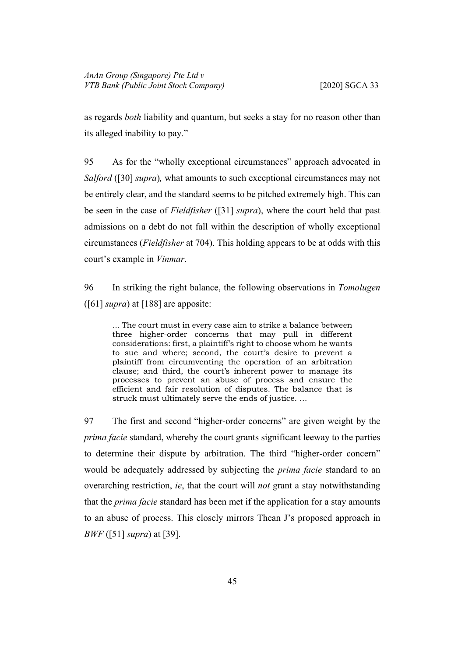as regards *both* liability and quantum, but seeks a stay for no reason other than its alleged inability to pay."

95 As for the "wholly exceptional circumstances" approach advocated in *Salford* ([\[30](#page-18-2)] *supra*)*,* what amounts to such exceptional circumstances may not be entirely clear, and the standard seems to be pitched extremely high. This can be seen in the case of *Fieldfisher* ([\[31](#page-19-0)] *supra*), where the court held that past admissions on a debt do not fall within the description of wholly exceptional circumstances (*Fieldfisher* at 704). This holding appears to be at odds with this court's example in *Vinmar*.

<span id="page-48-0"></span>96 In striking the right balance, the following observations in *Tomolugen*  ([[61\]](#page-32-1) *supra*) at [188] are apposite:

... The court must in every case aim to strike a balance between three higher-order concerns that may pull in different considerations: first, a plaintiff's right to choose whom he wants to sue and where; second, the court's desire to prevent a plaintiff from circumventing the operation of an arbitration clause; and third, the court's inherent power to manage its processes to prevent an abuse of process and ensure the efficient and fair resolution of disputes. The balance that is struck must ultimately serve the ends of justice. …

97 The first and second "higher-order concerns" are given weight by the *prima facie* standard, whereby the court grants significant leeway to the parties to determine their dispute by arbitration. The third "higher-order concern" would be adequately addressed by subjecting the *prima facie* standard to an overarching restriction, *ie*, that the court will *not* grant a stay notwithstanding that the *prima facie* standard has been met if the application for a stay amounts to an abuse of process. This closely mirrors Thean J's proposed approach in *BWF* ([[51\]](#page-28-1) *supra*) at [39].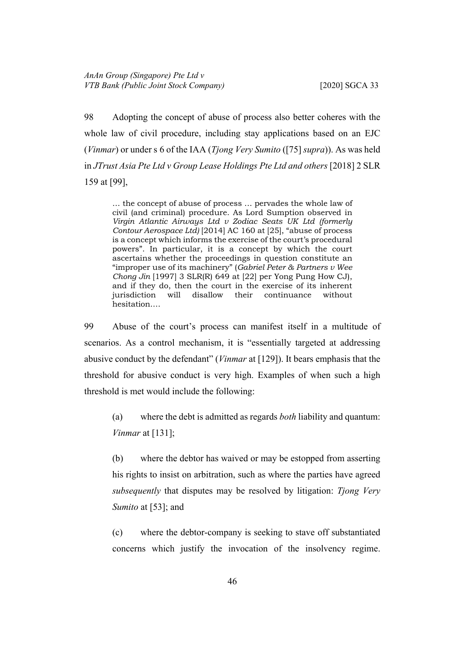98 Adopting the concept of abuse of process also better coheres with the whole law of civil procedure, including stay applications based on an EJC (*Vinmar*) or under s 6 of the IAA (*Tjong Very Sumito* ([\[75](#page-39-2)] *supra*)). As was held in *JTrust Asia Pte Ltd v Group Lease Holdings Pte Ltd and others* [2018] 2 SLR 159 at [99],

… the concept of abuse of process … pervades the whole law of civil (and criminal) procedure. As Lord Sumption observed in *Virgin Atlantic Airways Ltd v Zodiac Seats UK Ltd (formerly Contour Aerospace Ltd)* [2014] AC 160 at [25], "abuse of process is a concept which informs the exercise of the court's procedural powers". In particular, it is a concept by which the court ascertains whether the proceedings in question constitute an "improper use of its machinery" (*Gabriel Peter & Partners v Wee Chong Jin* [1997] 3 SLR(R) 649 at [22] per Yong Pung How CJ), and if they do, then the court in the exercise of its inherent jurisdiction will disallow their continuance without hesitation.…

99 Abuse of the court's process can manifest itself in a multitude of scenarios. As a control mechanism, it is "essentially targeted at addressing abusive conduct by the defendant" (*Vinmar* at [129]). It bears emphasis that the threshold for abusive conduct is very high. Examples of when such a high threshold is met would include the following:

(a) where the debt is admitted as regards *both* liability and quantum: *Vinmar* at [131];

(b) where the debtor has waived or may be estopped from asserting his rights to insist on arbitration, such as where the parties have agreed *subsequently* that disputes may be resolved by litigation: *Tjong Very Sumito* at [53]; and

(c) where the debtor-company is seeking to stave off substantiated concerns which justify the invocation of the insolvency regime.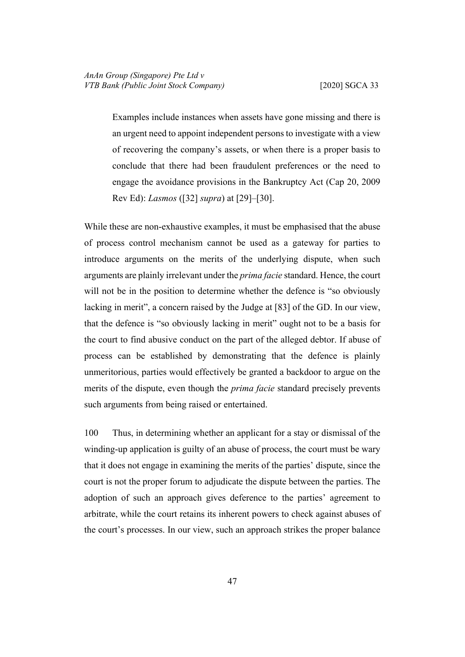Examples include instances when assets have gone missing and there is an urgent need to appoint independent persons to investigate with a view of recovering the company's assets, or when there is a proper basis to conclude that there had been fraudulent preferences or the need to engage the avoidance provisions in the Bankruptcy Act (Cap 20, 2009 Rev Ed): *Lasmos* ([[32\]](#page-20-2) *supra*) at [29]–[30].

While these are non-exhaustive examples, it must be emphasised that the abuse of process control mechanism cannot be used as a gateway for parties to introduce arguments on the merits of the underlying dispute, when such arguments are plainly irrelevant under the *prima facie* standard. Hence, the court will not be in the position to determine whether the defence is "so obviously lacking in merit", a concern raised by the Judge at [83] of the GD. In our view, that the defence is "so obviously lacking in merit" ought not to be a basis for the court to find abusive conduct on the part of the alleged debtor. If abuse of process can be established by demonstrating that the defence is plainly unmeritorious, parties would effectively be granted a backdoor to argue on the merits of the dispute, even though the *prima facie* standard precisely prevents such arguments from being raised or entertained.

100 Thus, in determining whether an applicant for a stay or dismissal of the winding-up application is guilty of an abuse of process, the court must be wary that it does not engage in examining the merits of the parties' dispute, since the court is not the proper forum to adjudicate the dispute between the parties. The adoption of such an approach gives deference to the parties' agreement to arbitrate, while the court retains its inherent powers to check against abuses of the court's processes. In our view, such an approach strikes the proper balance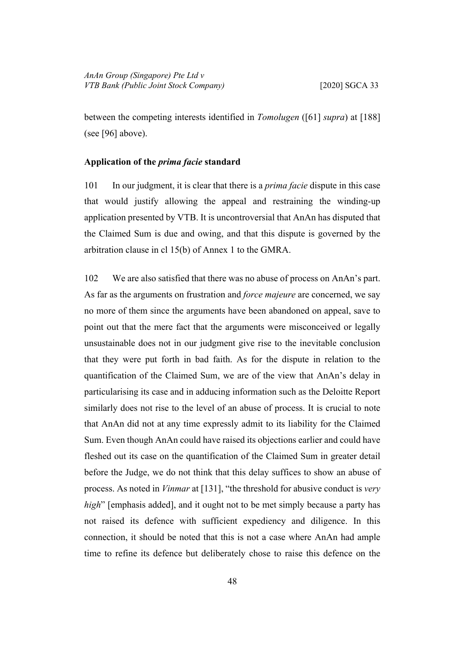between the competing interests identified in *Tomolugen* ([\[61](#page-32-1)] *supra*) at [188] (see [\[96](#page-48-0)] above).

# <span id="page-51-0"></span>**Application of the** *prima facie* **standard**

101 In our judgment, it is clear that there is a *prima facie* dispute in this case that would justify allowing the appeal and restraining the winding-up application presented by VTB. It is uncontroversial that AnAn has disputed that the Claimed Sum is due and owing, and that this dispute is governed by the arbitration clause in cl 15(b) of Annex 1 to the GMRA.

102 We are also satisfied that there was no abuse of process on AnAn's part. As far as the arguments on frustration and *force majeure* are concerned, we say no more of them since the arguments have been abandoned on appeal, save to point out that the mere fact that the arguments were misconceived or legally unsustainable does not in our judgment give rise to the inevitable conclusion that they were put forth in bad faith. As for the dispute in relation to the quantification of the Claimed Sum, we are of the view that AnAn's delay in particularising its case and in adducing information such as the Deloitte Report similarly does not rise to the level of an abuse of process. It is crucial to note that AnAn did not at any time expressly admit to its liability for the Claimed Sum. Even though AnAn could have raised its objections earlier and could have fleshed out its case on the quantification of the Claimed Sum in greater detail before the Judge, we do not think that this delay suffices to show an abuse of process. As noted in *Vinmar* at [131], "the threshold for abusive conduct is *very high*" [emphasis added], and it ought not to be met simply because a party has not raised its defence with sufficient expediency and diligence. In this connection, it should be noted that this is not a case where AnAn had ample time to refine its defence but deliberately chose to raise this defence on the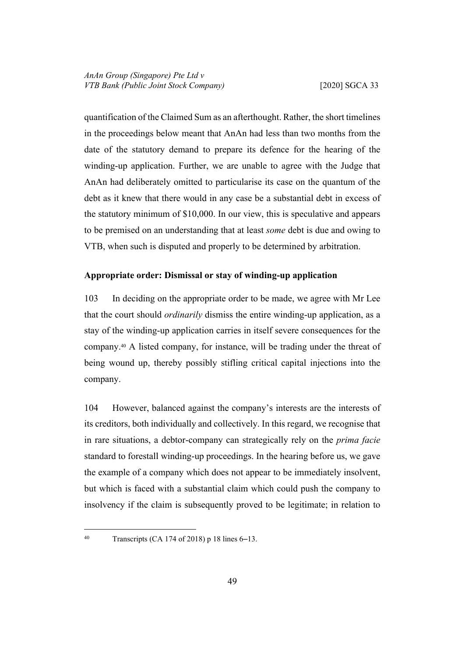quantification of the Claimed Sum as an afterthought. Rather, the short timelines in the proceedings below meant that AnAn had less than two months from the date of the statutory demand to prepare its defence for the hearing of the winding-up application. Further, we are unable to agree with the Judge that AnAn had deliberately omitted to particularise its case on the quantum of the debt as it knew that there would in any case be a substantial debt in excess of the statutory minimum of \$10,000. In our view, this is speculative and appears to be premised on an understanding that at least *some* debt is due and owing to VTB, when such is disputed and properly to be determined by arbitration.

# <span id="page-52-0"></span>**Appropriate order: Dismissal or stay of winding-up application**

103 In deciding on the appropriate order to be made, we agree with Mr Lee that the court should *ordinarily* dismiss the entire winding-up application, as a stay of the winding-up application carries in itself severe consequences for the company.40 A listed company, for instance, will be trading under the threat of being wound up, thereby possibly stifling critical capital injections into the company.

<span id="page-52-1"></span>104 However, balanced against the company's interests are the interests of its creditors, both individually and collectively. In this regard, we recognise that in rare situations, a debtor-company can strategically rely on the *prima facie* standard to forestall winding-up proceedings. In the hearing before us, we gave the example of a company which does not appear to be immediately insolvent, but which is faced with a substantial claim which could push the company to insolvency if the claim is subsequently proved to be legitimate; in relation to

<sup>40</sup> Transcripts (CA 174 of 2018) p 18 lines 6–13.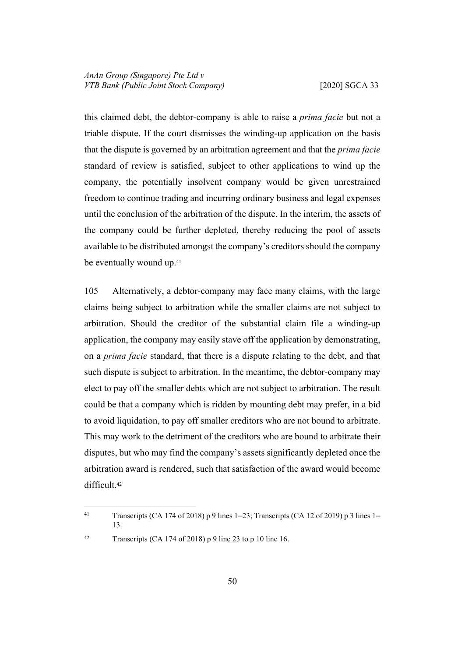this claimed debt, the debtor-company is able to raise a *prima facie* but not a triable dispute. If the court dismisses the winding-up application on the basis that the dispute is governed by an arbitration agreement and that the *prima facie*  standard of review is satisfied, subject to other applications to wind up the company, the potentially insolvent company would be given unrestrained freedom to continue trading and incurring ordinary business and legal expenses until the conclusion of the arbitration of the dispute. In the interim, the assets of the company could be further depleted, thereby reducing the pool of assets available to be distributed amongst the company's creditors should the company be eventually wound up.<sup>41</sup>

<span id="page-53-0"></span>105 Alternatively, a debtor-company may face many claims, with the large claims being subject to arbitration while the smaller claims are not subject to arbitration. Should the creditor of the substantial claim file a winding-up application, the company may easily stave off the application by demonstrating, on a *prima facie* standard, that there is a dispute relating to the debt, and that such dispute is subject to arbitration. In the meantime, the debtor-company may elect to pay off the smaller debts which are not subject to arbitration. The result could be that a company which is ridden by mounting debt may prefer, in a bid to avoid liquidation, to pay off smaller creditors who are not bound to arbitrate. This may work to the detriment of the creditors who are bound to arbitrate their disputes, but who may find the company's assets significantly depleted once the arbitration award is rendered, such that satisfaction of the award would become difficult.<sup>42</sup>

42 Transcripts (CA 174 of 2018) p 9 line 23 to p 10 line 16.

<sup>41</sup> Transcripts (CA 174 of 2018) p 9 lines 1–23; Transcripts (CA 12 of 2019) p 3 lines 1– 13.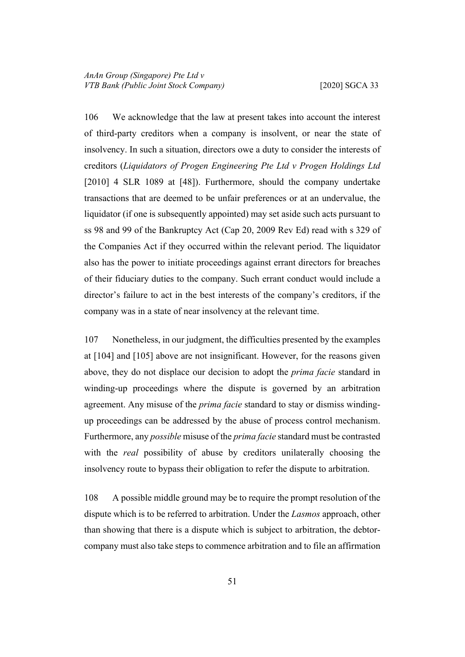106 We acknowledge that the law at present takes into account the interest of third-party creditors when a company is insolvent, or near the state of insolvency. In such a situation, directors owe a duty to consider the interests of creditors (*Liquidators of Progen Engineering Pte Ltd v Progen Holdings Ltd*  [2010] 4 SLR 1089 at [48]). Furthermore, should the company undertake transactions that are deemed to be unfair preferences or at an undervalue, the liquidator (if one is subsequently appointed) may set aside such acts pursuant to ss 98 and 99 of the Bankruptcy Act (Cap 20, 2009 Rev Ed) read with s 329 of the Companies Act if they occurred within the relevant period. The liquidator also has the power to initiate proceedings against errant directors for breaches of their fiduciary duties to the company. Such errant conduct would include a director's failure to act in the best interests of the company's creditors, if the company was in a state of near insolvency at the relevant time.

107 Nonetheless, in our judgment, the difficulties presented by the examples at [\[104](#page-52-1)] and [\[105](#page-53-0)] above are not insignificant. However, for the reasons given above, they do not displace our decision to adopt the *prima facie* standard in winding-up proceedings where the dispute is governed by an arbitration agreement. Any misuse of the *prima facie* standard to stay or dismiss windingup proceedings can be addressed by the abuse of process control mechanism. Furthermore, any *possible* misuse of the *prima facie* standard must be contrasted with the *real* possibility of abuse by creditors unilaterally choosing the insolvency route to bypass their obligation to refer the dispute to arbitration.

108 A possible middle ground may be to require the prompt resolution of the dispute which is to be referred to arbitration. Under the *Lasmos* approach, other than showing that there is a dispute which is subject to arbitration, the debtorcompany must also take steps to commence arbitration and to file an affirmation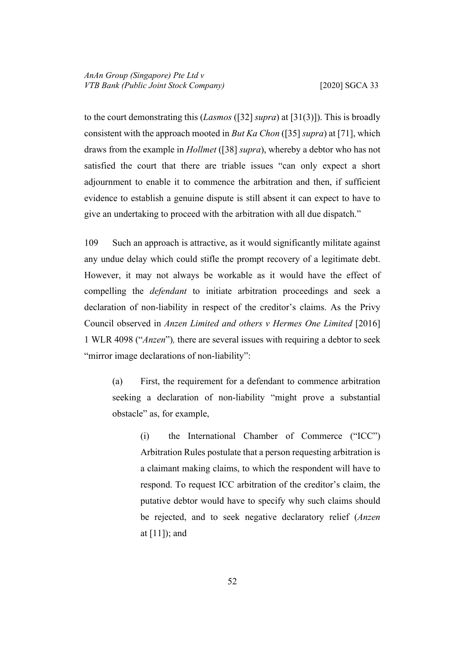to the court demonstrating this (*Lasmos* ([[32\]](#page-20-2) *supra*) at [31(3)]). This is broadly consistent with the approach mooted in *But Ka Chon* ([[35\]](#page-21-0) *supra*) at [71], which draws from the example in *Hollmet* ([\[38](#page-23-1)] *supra*), whereby a debtor who has not satisfied the court that there are triable issues "can only expect a short adjournment to enable it to commence the arbitration and then, if sufficient evidence to establish a genuine dispute is still absent it can expect to have to give an undertaking to proceed with the arbitration with all due dispatch."

<span id="page-55-0"></span>109 Such an approach is attractive, as it would significantly militate against any undue delay which could stifle the prompt recovery of a legitimate debt. However, it may not always be workable as it would have the effect of compelling the *defendant* to initiate arbitration proceedings and seek a declaration of non-liability in respect of the creditor's claims. As the Privy Council observed in *Anzen Limited and others v Hermes One Limited* [2016] 1 WLR 4098 ("*Anzen*")*,* there are several issues with requiring a debtor to seek "mirror image declarations of non-liability":

(a) First, the requirement for a defendant to commence arbitration seeking a declaration of non-liability "might prove a substantial obstacle" as, for example,

> (i) the International Chamber of Commerce ("ICC") Arbitration Rules postulate that a person requesting arbitration is a claimant making claims, to which the respondent will have to respond. To request ICC arbitration of the creditor's claim, the putative debtor would have to specify why such claims should be rejected, and to seek negative declaratory relief (*Anzen*  at [11]); and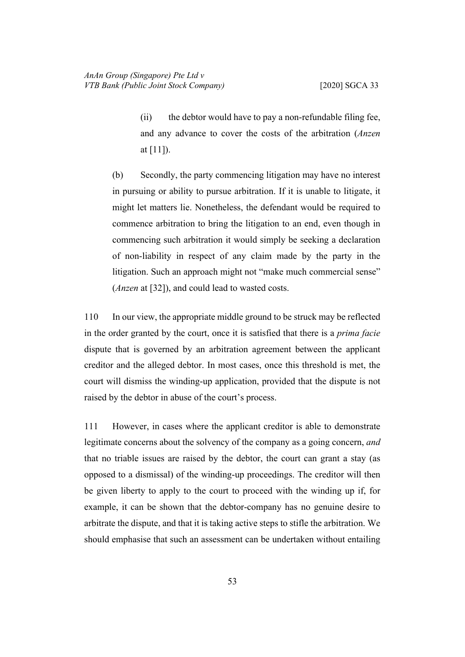(ii) the debtor would have to pay a non-refundable filing fee, and any advance to cover the costs of the arbitration (*Anzen*  at [11]).

(b) Secondly, the party commencing litigation may have no interest in pursuing or ability to pursue arbitration. If it is unable to litigate, it might let matters lie. Nonetheless, the defendant would be required to commence arbitration to bring the litigation to an end, even though in commencing such arbitration it would simply be seeking a declaration of non-liability in respect of any claim made by the party in the litigation. Such an approach might not "make much commercial sense" (*Anzen* at [32]), and could lead to wasted costs.

110 In our view, the appropriate middle ground to be struck may be reflected in the order granted by the court, once it is satisfied that there is a *prima facie*  dispute that is governed by an arbitration agreement between the applicant creditor and the alleged debtor. In most cases, once this threshold is met, the court will dismiss the winding-up application, provided that the dispute is not raised by the debtor in abuse of the court's process.

111 However, in cases where the applicant creditor is able to demonstrate legitimate concerns about the solvency of the company as a going concern, *and*  that no triable issues are raised by the debtor, the court can grant a stay (as opposed to a dismissal) of the winding-up proceedings. The creditor will then be given liberty to apply to the court to proceed with the winding up if, for example, it can be shown that the debtor-company has no genuine desire to arbitrate the dispute, and that it is taking active steps to stifle the arbitration. We should emphasise that such an assessment can be undertaken without entailing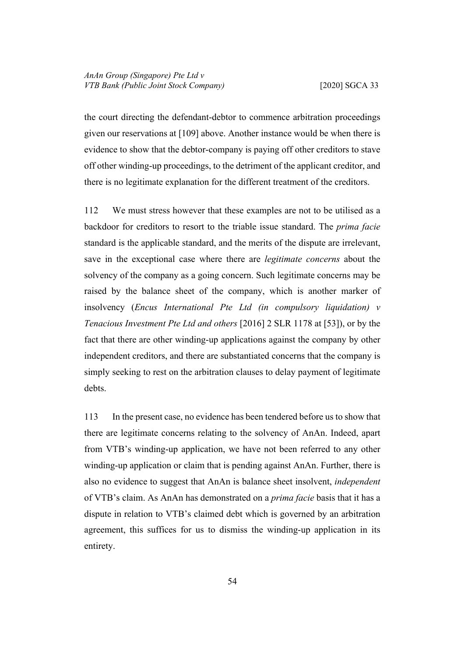the court directing the defendant-debtor to commence arbitration proceedings given our reservations at [[109\]](#page-55-0) above. Another instance would be when there is evidence to show that the debtor-company is paying off other creditors to stave off other winding-up proceedings, to the detriment of the applicant creditor, and there is no legitimate explanation for the different treatment of the creditors.

112 We must stress however that these examples are not to be utilised as a backdoor for creditors to resort to the triable issue standard. The *prima facie*  standard is the applicable standard, and the merits of the dispute are irrelevant, save in the exceptional case where there are *legitimate concerns* about the solvency of the company as a going concern. Such legitimate concerns may be raised by the balance sheet of the company, which is another marker of insolvency (*Encus International Pte Ltd (in compulsory liquidation) v Tenacious Investment Pte Ltd and others* [2016] 2 SLR 1178 at [53]), or by the fact that there are other winding-up applications against the company by other independent creditors, and there are substantiated concerns that the company is simply seeking to rest on the arbitration clauses to delay payment of legitimate debts.

113 In the present case, no evidence has been tendered before us to show that there are legitimate concerns relating to the solvency of AnAn. Indeed, apart from VTB's winding-up application, we have not been referred to any other winding-up application or claim that is pending against AnAn. Further, there is also no evidence to suggest that AnAn is balance sheet insolvent, *independent*  of VTB's claim. As AnAn has demonstrated on a *prima facie* basis that it has a dispute in relation to VTB's claimed debt which is governed by an arbitration agreement, this suffices for us to dismiss the winding-up application in its entirety.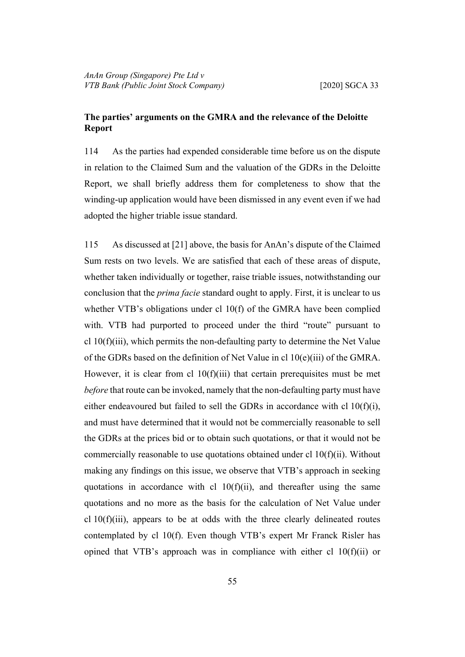# <span id="page-58-0"></span>**The parties' arguments on the GMRA and the relevance of the Deloitte Report**

114 As the parties had expended considerable time before us on the dispute in relation to the Claimed Sum and the valuation of the GDRs in the Deloitte Report, we shall briefly address them for completeness to show that the winding-up application would have been dismissed in any event even if we had adopted the higher triable issue standard.

115 As discussed at [\[21](#page-15-1)] above, the basis for AnAn's dispute of the Claimed Sum rests on two levels. We are satisfied that each of these areas of dispute, whether taken individually or together, raise triable issues, notwithstanding our conclusion that the *prima facie* standard ought to apply. First, it is unclear to us whether VTB's obligations under cl 10(f) of the GMRA have been complied with. VTB had purported to proceed under the third "route" pursuant to cl 10(f)(iii), which permits the non-defaulting party to determine the Net Value of the GDRs based on the definition of Net Value in cl 10(e)(iii) of the GMRA. However, it is clear from cl  $10(f)(iii)$  that certain prerequisites must be met *before* that route can be invoked, namely that the non-defaulting party must have either endeavoured but failed to sell the GDRs in accordance with cl 10(f)(i), and must have determined that it would not be commercially reasonable to sell the GDRs at the prices bid or to obtain such quotations, or that it would not be commercially reasonable to use quotations obtained under cl 10(f)(ii). Without making any findings on this issue, we observe that VTB's approach in seeking quotations in accordance with cl  $10(f)(ii)$ , and thereafter using the same quotations and no more as the basis for the calculation of Net Value under cl  $10(f)(iii)$ , appears to be at odds with the three clearly delineated routes contemplated by cl 10(f). Even though VTB's expert Mr Franck Risler has opined that VTB's approach was in compliance with either cl  $10(f)(ii)$  or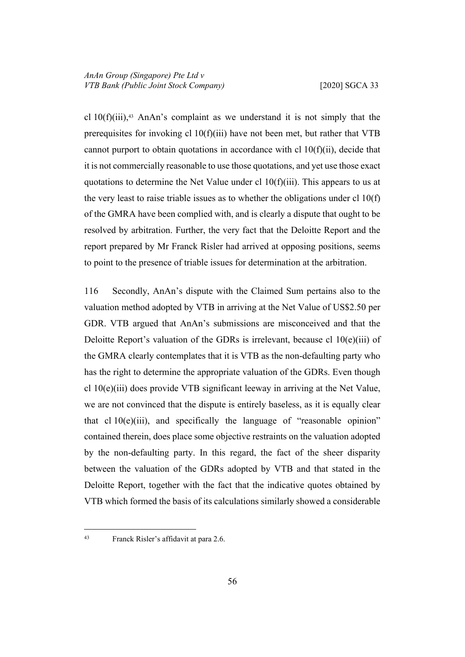cl  $10(f)(iii)$ ,<sup>43</sup> AnAn's complaint as we understand it is not simply that the prerequisites for invoking cl 10(f)(iii) have not been met, but rather that VTB cannot purport to obtain quotations in accordance with cl 10(f)(ii), decide that it is not commercially reasonable to use those quotations, and yet use those exact quotations to determine the Net Value under cl  $10(f)(iii)$ . This appears to us at the very least to raise triable issues as to whether the obligations under cl  $10(f)$ of the GMRA have been complied with, and is clearly a dispute that ought to be resolved by arbitration. Further, the very fact that the Deloitte Report and the report prepared by Mr Franck Risler had arrived at opposing positions, seems to point to the presence of triable issues for determination at the arbitration.

116 Secondly, AnAn's dispute with the Claimed Sum pertains also to the valuation method adopted by VTB in arriving at the Net Value of US\$2.50 per GDR. VTB argued that AnAn's submissions are misconceived and that the Deloitte Report's valuation of the GDRs is irrelevant, because cl 10(e)(iii) of the GMRA clearly contemplates that it is VTB as the non-defaulting party who has the right to determine the appropriate valuation of the GDRs. Even though cl 10(e)(iii) does provide VTB significant leeway in arriving at the Net Value, we are not convinced that the dispute is entirely baseless, as it is equally clear that cl  $10(e)(iii)$ , and specifically the language of "reasonable opinion" contained therein, does place some objective restraints on the valuation adopted by the non-defaulting party. In this regard, the fact of the sheer disparity between the valuation of the GDRs adopted by VTB and that stated in the Deloitte Report, together with the fact that the indicative quotes obtained by VTB which formed the basis of its calculations similarly showed a considerable

<sup>43</sup> Franck Risler's affidavit at para 2.6.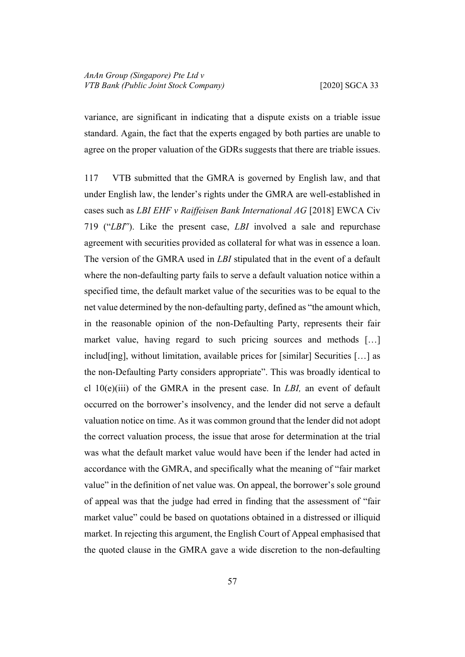variance, are significant in indicating that a dispute exists on a triable issue standard. Again, the fact that the experts engaged by both parties are unable to agree on the proper valuation of the GDRs suggests that there are triable issues.

117 VTB submitted that the GMRA is governed by English law, and that under English law, the lender's rights under the GMRA are well-established in cases such as *LBI EHF v Raiffeisen Bank International AG* [2018] EWCA Civ 719 ("*LBI*"). Like the present case, *LBI* involved a sale and repurchase agreement with securities provided as collateral for what was in essence a loan. The version of the GMRA used in *LBI* stipulated that in the event of a default where the non-defaulting party fails to serve a default valuation notice within a specified time, the default market value of the securities was to be equal to the net value determined by the non-defaulting party, defined as "the amount which, in the reasonable opinion of the non-Defaulting Party, represents their fair market value, having regard to such pricing sources and methods […] includ[ing], without limitation, available prices for [similar] Securities […] as the non-Defaulting Party considers appropriate". This was broadly identical to cl 10(e)(iii) of the GMRA in the present case. In *LBI,* an event of default occurred on the borrower's insolvency, and the lender did not serve a default valuation notice on time. As it was common ground that the lender did not adopt the correct valuation process, the issue that arose for determination at the trial was what the default market value would have been if the lender had acted in accordance with the GMRA, and specifically what the meaning of "fair market value" in the definition of net value was. On appeal, the borrower's sole ground of appeal was that the judge had erred in finding that the assessment of "fair market value" could be based on quotations obtained in a distressed or illiquid market. In rejecting this argument, the English Court of Appeal emphasised that the quoted clause in the GMRA gave a wide discretion to the non-defaulting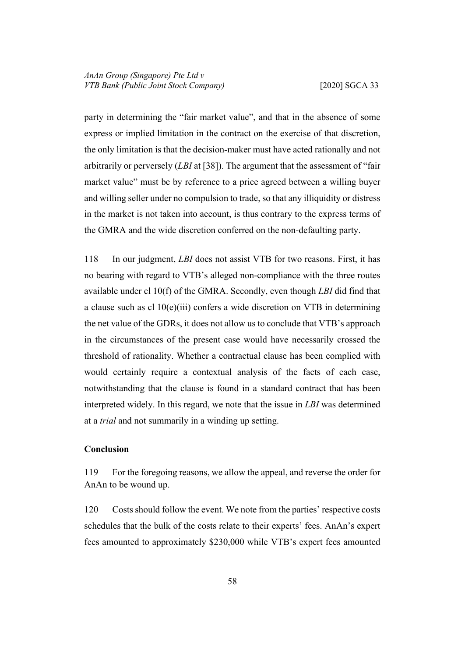party in determining the "fair market value", and that in the absence of some express or implied limitation in the contract on the exercise of that discretion, the only limitation is that the decision-maker must have acted rationally and not arbitrarily or perversely (*LBI* at [38]). The argument that the assessment of "fair market value" must be by reference to a price agreed between a willing buyer and willing seller under no compulsion to trade, so that any illiquidity or distress in the market is not taken into account, is thus contrary to the express terms of the GMRA and the wide discretion conferred on the non-defaulting party.

118 In our judgment, *LBI* does not assist VTB for two reasons. First, it has no bearing with regard to VTB's alleged non-compliance with the three routes available under cl 10(f) of the GMRA. Secondly, even though *LBI* did find that a clause such as cl 10(e)(iii) confers a wide discretion on VTB in determining the net value of the GDRs, it does not allow us to conclude that VTB's approach in the circumstances of the present case would have necessarily crossed the threshold of rationality. Whether a contractual clause has been complied with would certainly require a contextual analysis of the facts of each case, notwithstanding that the clause is found in a standard contract that has been interpreted widely. In this regard, we note that the issue in *LBI* was determined at a *trial* and not summarily in a winding up setting.

# <span id="page-61-0"></span>**Conclusion**

119 For the foregoing reasons, we allow the appeal, and reverse the order for AnAn to be wound up.

120 Costs should follow the event. We note from the parties' respective costs schedules that the bulk of the costs relate to their experts' fees. AnAn's expert fees amounted to approximately \$230,000 while VTB's expert fees amounted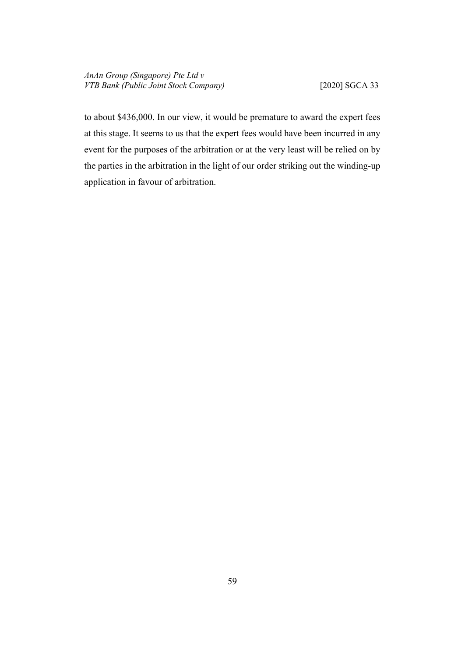to about \$436,000. In our view, it would be premature to award the expert fees at this stage. It seems to us that the expert fees would have been incurred in any event for the purposes of the arbitration or at the very least will be relied on by the parties in the arbitration in the light of our order striking out the winding-up application in favour of arbitration.